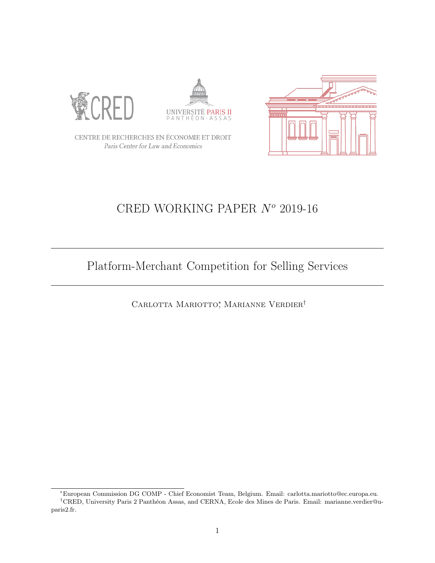





CENTRE DE RECHERCHES EN ÉCONOMIE ET DROIT Paris Center for Law and Economics

# CRED WORKING PAPER  $N<sup>o</sup>$  2019-16

# Platform-Merchant Competition for Selling Services

CARLOTTA MARIOTTO<sup>\*</sup>, MARIANNE VERDIER<sup>†</sup>

<sup>∗</sup>European Commission DG COMP - Chief Economist Team, Belgium. Email: carlotta.mariotto@ec.europa.eu. †CRED, University Paris 2 Panthéon Assas, and CERNA, Ecole des Mines de Paris. Email: marianne.verdier@uparis2.fr.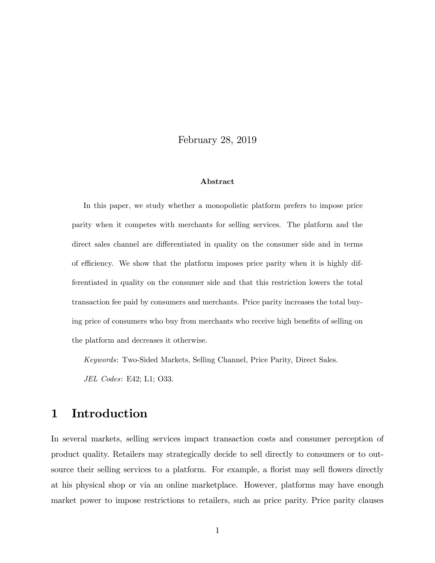February 28, 2019

#### Abstract

In this paper, we study whether a monopolistic platform prefers to impose price parity when it competes with merchants for selling services. The platform and the direct sales channel are differentiated in quality on the consumer side and in terms of efficiency. We show that the platform imposes price parity when it is highly differentiated in quality on the consumer side and that this restriction lowers the total transaction fee paid by consumers and merchants. Price parity increases the total buying price of consumers who buy from merchants who receive high benefits of selling on the platform and decreases it otherwise.

Keywords: Two-Sided Markets, Selling Channel, Price Parity, Direct Sales.

JEL Codes: E42; L1; O33.

# 1 Introduction

In several markets, selling services impact transaction costs and consumer perception of product quality. Retailers may strategically decide to sell directly to consumers or to outsource their selling services to a platform. For example, a florist may sell flowers directly at his physical shop or via an online marketplace. However, platforms may have enough market power to impose restrictions to retailers, such as price parity. Price parity clauses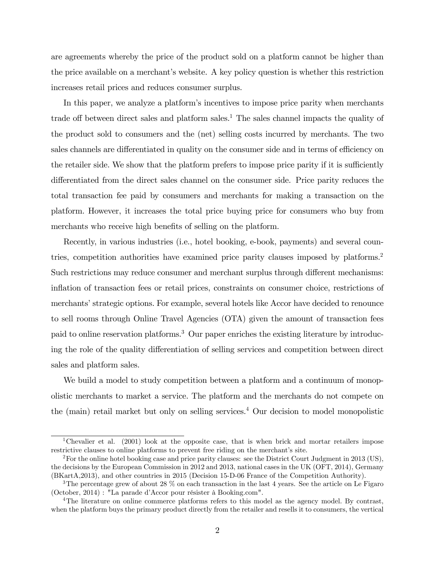are agreements whereby the price of the product sold on a platform cannot be higher than the price available on a merchant's website. A key policy question is whether this restriction increases retail prices and reduces consumer surplus.

In this paper, we analyze a platform's incentives to impose price parity when merchants trade off between direct sales and platform sales.<sup>1</sup> The sales channel impacts the quality of the product sold to consumers and the (net) selling costs incurred by merchants. The two sales channels are differentiated in quality on the consumer side and in terms of efficiency on the retailer side. We show that the platform prefers to impose price parity if it is sufficiently differentiated from the direct sales channel on the consumer side. Price parity reduces the total transaction fee paid by consumers and merchants for making a transaction on the platform. However, it increases the total price buying price for consumers who buy from merchants who receive high benefits of selling on the platform.

Recently, in various industries (i.e., hotel booking, e-book, payments) and several countries, competition authorities have examined price parity clauses imposed by platforms.<sup>2</sup> Such restrictions may reduce consumer and merchant surplus through different mechanisms: inflation of transaction fees or retail prices, constraints on consumer choice, restrictions of merchants' strategic options. For example, several hotels like Accor have decided to renounce to sell rooms through Online Travel Agencies (OTA) given the amount of transaction fees paid to online reservation platforms.<sup>3</sup> Our paper enriches the existing literature by introducing the role of the quality differentiation of selling services and competition between direct sales and platform sales.

We build a model to study competition between a platform and a continuum of monopolistic merchants to market a service. The platform and the merchants do not compete on the (main) retail market but only on selling services.<sup>4</sup> Our decision to model monopolistic

<sup>&</sup>lt;sup>1</sup>Chevalier et al. (2001) look at the opposite case, that is when brick and mortar retailers impose restrictive clauses to online platforms to prevent free riding on the merchant's site.

<sup>&</sup>lt;sup>2</sup>For the online hotel booking case and price parity clauses: see the District Court Judgment in 2013 (US), the decisions by the European Commission in 2012 and 2013, national cases in the UK (OFT, 2014), Germany (BKartA,2013), and other countries in 2015 (Decision 15-D-06 France of the Competition Authority).

<sup>&</sup>lt;sup>3</sup>The percentage grew of about 28  $\%$  on each transaction in the last 4 years. See the article on Le Figaro  $(October, 2014) : "La parade d'Accor pour résister à Booking.com".$ 

<sup>&</sup>lt;sup>4</sup>The literature on online commerce platforms refers to this model as the agency model. By contrast, when the platform buys the primary product directly from the retailer and resells it to consumers, the vertical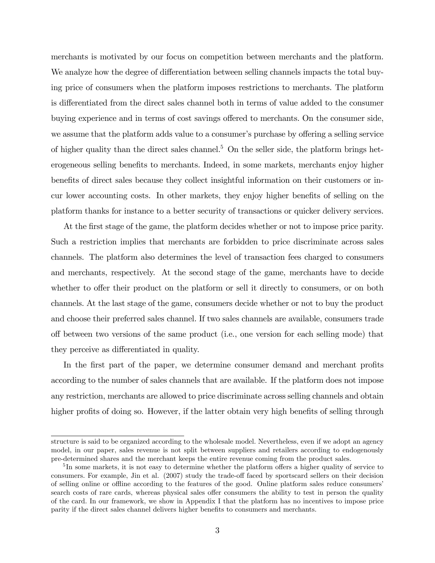merchants is motivated by our focus on competition between merchants and the platform. We analyze how the degree of differentiation between selling channels impacts the total buying price of consumers when the platform imposes restrictions to merchants. The platform is differentiated from the direct sales channel both in terms of value added to the consumer buying experience and in terms of cost savings offered to merchants. On the consumer side, we assume that the platform adds value to a consumer's purchase by offering a selling service of higher quality than the direct sales channel.<sup>5</sup> On the seller side, the platform brings heterogeneous selling benefits to merchants. Indeed, in some markets, merchants enjoy higher benefits of direct sales because they collect insightful information on their customers or incur lower accounting costs. In other markets, they enjoy higher benefits of selling on the platform thanks for instance to a better security of transactions or quicker delivery services.

At the first stage of the game, the platform decides whether or not to impose price parity. Such a restriction implies that merchants are forbidden to price discriminate across sales channels. The platform also determines the level of transaction fees charged to consumers and merchants, respectively. At the second stage of the game, merchants have to decide whether to offer their product on the platform or sell it directly to consumers, or on both channels. At the last stage of the game, consumers decide whether or not to buy the product and choose their preferred sales channel. If two sales channels are available, consumers trade o§ between two versions of the same product (i.e., one version for each selling mode) that they perceive as differentiated in quality.

In the first part of the paper, we determine consumer demand and merchant profits according to the number of sales channels that are available. If the platform does not impose any restriction, merchants are allowed to price discriminate across selling channels and obtain higher profits of doing so. However, if the latter obtain very high benefits of selling through

structure is said to be organized according to the wholesale model. Nevertheless, even if we adopt an agency model, in our paper, sales revenue is not split between suppliers and retailers according to endogenously pre-determined shares and the merchant keeps the entire revenue coming from the product sales.

 ${}^{5}$ In some markets, it is not easy to determine whether the platform offers a higher quality of service to consumers. For example, Jin et al. (2007) study the trade-off faced by sportscard sellers on their decision of selling online or offline according to the features of the good. Online platform sales reduce consumers' search costs of rare cards, whereas physical sales offer consumers the ability to test in person the quality of the card. In our framework, we show in Appendix I that the platform has no incentives to impose price parity if the direct sales channel delivers higher benefits to consumers and merchants.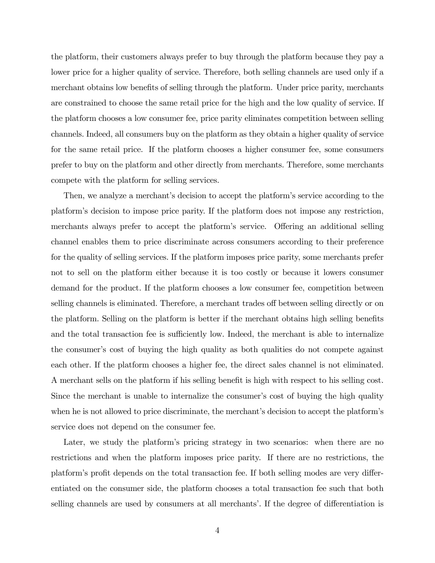the platform, their customers always prefer to buy through the platform because they pay a lower price for a higher quality of service. Therefore, both selling channels are used only if a merchant obtains low benefits of selling through the platform. Under price parity, merchants are constrained to choose the same retail price for the high and the low quality of service. If the platform chooses a low consumer fee, price parity eliminates competition between selling channels. Indeed, all consumers buy on the platform as they obtain a higher quality of service for the same retail price. If the platform chooses a higher consumer fee, some consumers prefer to buy on the platform and other directly from merchants. Therefore, some merchants compete with the platform for selling services.

Then, we analyze a merchant's decision to accept the platform's service according to the platformís decision to impose price parity. If the platform does not impose any restriction, merchants always prefer to accept the platform's service. Offering an additional selling channel enables them to price discriminate across consumers according to their preference for the quality of selling services. If the platform imposes price parity, some merchants prefer not to sell on the platform either because it is too costly or because it lowers consumer demand for the product. If the platform chooses a low consumer fee, competition between selling channels is eliminated. Therefore, a merchant trades off between selling directly or on the platform. Selling on the platform is better if the merchant obtains high selling benefits and the total transaction fee is sufficiently low. Indeed, the merchant is able to internalize the consumer's cost of buying the high quality as both qualities do not compete against each other. If the platform chooses a higher fee, the direct sales channel is not eliminated. A merchant sells on the platform if his selling benefit is high with respect to his selling cost. Since the merchant is unable to internalize the consumer's cost of buying the high quality when he is not allowed to price discriminate, the merchant's decision to accept the platform's service does not depend on the consumer fee.

Later, we study the platform's pricing strategy in two scenarios: when there are no restrictions and when the platform imposes price parity. If there are no restrictions, the platform's profit depends on the total transaction fee. If both selling modes are very differentiated on the consumer side, the platform chooses a total transaction fee such that both selling channels are used by consumers at all merchants'. If the degree of differentiation is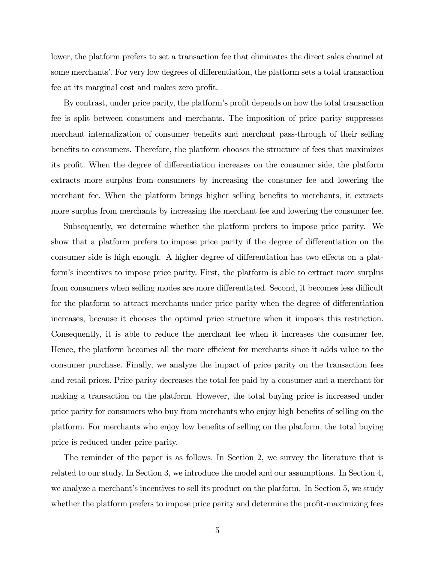lower, the platform prefers to set a transaction fee that eliminates the direct sales channel at some merchants'. For very low degrees of differentiation, the platform sets a total transaction fee at its marginal cost and makes zero profit.

By contrast, under price parity, the platform's profit depends on how the total transaction fee is split between consumers and merchants. The imposition of price parity suppresses merchant internalization of consumer benefits and merchant pass-through of their selling benefits to consumers. Therefore, the platform chooses the structure of fees that maximizes its profit. When the degree of differentiation increases on the consumer side, the platform extracts more surplus from consumers by increasing the consumer fee and lowering the merchant fee. When the platform brings higher selling benefits to merchants, it extracts more surplus from merchants by increasing the merchant fee and lowering the consumer fee.

Subsequently, we determine whether the platform prefers to impose price parity. We show that a platform prefers to impose price parity if the degree of differentiation on the consumer side is high enough. A higher degree of differentiation has two effects on a platformís incentives to impose price parity. First, the platform is able to extract more surplus from consumers when selling modes are more differentiated. Second, it becomes less difficult for the platform to attract merchants under price parity when the degree of differentiation increases, because it chooses the optimal price structure when it imposes this restriction. Consequently, it is able to reduce the merchant fee when it increases the consumer fee. Hence, the platform becomes all the more efficient for merchants since it adds value to the consumer purchase. Finally, we analyze the impact of price parity on the transaction fees and retail prices. Price parity decreases the total fee paid by a consumer and a merchant for making a transaction on the platform. However, the total buying price is increased under price parity for consumers who buy from merchants who enjoy high benefits of selling on the platform. For merchants who enjoy low benefits of selling on the platform, the total buying price is reduced under price parity.

The reminder of the paper is as follows. In Section 2, we survey the literature that is related to our study. In Section 3, we introduce the model and our assumptions. In Section 4, we analyze a merchant's incentives to sell its product on the platform. In Section 5, we study whether the platform prefers to impose price parity and determine the profit-maximizing fees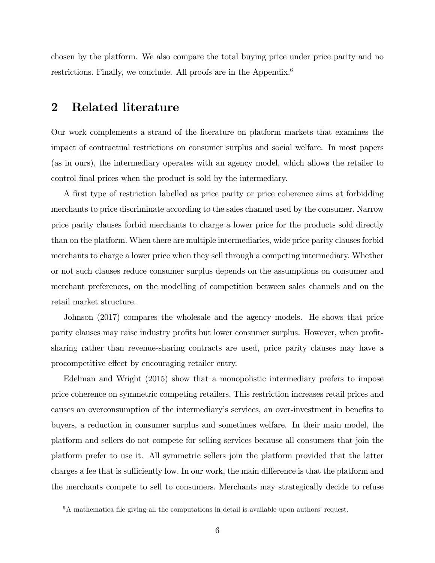chosen by the platform. We also compare the total buying price under price parity and no restrictions. Finally, we conclude. All proofs are in the Appendix.<sup>6</sup>

## 2 Related literature

Our work complements a strand of the literature on platform markets that examines the impact of contractual restrictions on consumer surplus and social welfare. In most papers (as in ours), the intermediary operates with an agency model, which allows the retailer to control Önal prices when the product is sold by the intermediary.

A first type of restriction labelled as price parity or price coherence aims at forbidding merchants to price discriminate according to the sales channel used by the consumer. Narrow price parity clauses forbid merchants to charge a lower price for the products sold directly than on the platform. When there are multiple intermediaries, wide price parity clauses forbid merchants to charge a lower price when they sell through a competing intermediary. Whether or not such clauses reduce consumer surplus depends on the assumptions on consumer and merchant preferences, on the modelling of competition between sales channels and on the retail market structure.

Johnson (2017) compares the wholesale and the agency models. He shows that price parity clauses may raise industry profits but lower consumer surplus. However, when profitsharing rather than revenue-sharing contracts are used, price parity clauses may have a procompetitive effect by encouraging retailer entry.

Edelman and Wright (2015) show that a monopolistic intermediary prefers to impose price coherence on symmetric competing retailers. This restriction increases retail prices and causes an overconsumption of the intermediary's services, an over-investment in benefits to buyers, a reduction in consumer surplus and sometimes welfare. In their main model, the platform and sellers do not compete for selling services because all consumers that join the platform prefer to use it. All symmetric sellers join the platform provided that the latter charges a fee that is sufficiently low. In our work, the main difference is that the platform and the merchants compete to sell to consumers. Merchants may strategically decide to refuse

 $6A$  mathematica file giving all the computations in detail is available upon authors' request.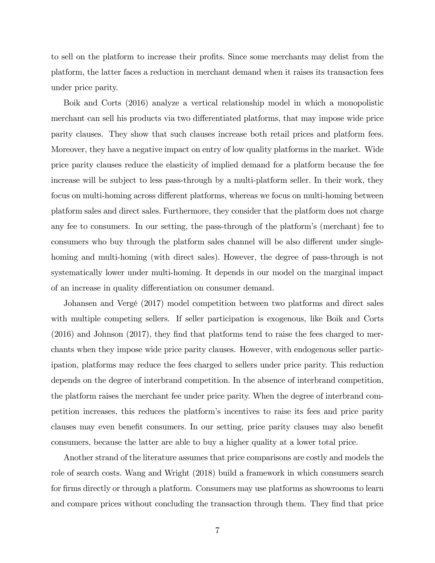to sell on the platform to increase their profits. Since some merchants may delist from the platform, the latter faces a reduction in merchant demand when it raises its transaction fees under price parity.

Boik and Corts (2016) analyze a vertical relationship model in which a monopolistic merchant can sell his products via two differentiated platforms, that may impose wide price parity clauses. They show that such clauses increase both retail prices and platform fees. Moreover, they have a negative impact on entry of low quality platforms in the market. Wide price parity clauses reduce the elasticity of implied demand for a platform because the fee increase will be subject to less pass-through by a multi-platform seller. In their work, they focus on multi-homing across different platforms, whereas we focus on multi-homing between platform sales and direct sales. Furthermore, they consider that the platform does not charge any fee to consumers. In our setting, the pass-through of the platformís (merchant) fee to consumers who buy through the platform sales channel will be also different under singlehoming and multi-homing (with direct sales). However, the degree of pass-through is not systematically lower under multi-homing. It depends in our model on the marginal impact of an increase in quality differentiation on consumer demand.

Johansen and VergÈ (2017) model competition between two platforms and direct sales with multiple competing sellers. If seller participation is exogenous, like Boik and Corts  $(2016)$  and Johnson  $(2017)$ , they find that platforms tend to raise the fees charged to merchants when they impose wide price parity clauses. However, with endogenous seller participation, platforms may reduce the fees charged to sellers under price parity. This reduction depends on the degree of interbrand competition. In the absence of interbrand competition, the platform raises the merchant fee under price parity. When the degree of interbrand competition increases, this reduces the platformís incentives to raise its fees and price parity clauses may even benefit consumers. In our setting, price parity clauses may also benefit consumers, because the latter are able to buy a higher quality at a lower total price.

Another strand of the literature assumes that price comparisons are costly and models the role of search costs. Wang and Wright (2018) build a framework in which consumers search for firms directly or through a platform. Consumers may use platforms as showrooms to learn and compare prices without concluding the transaction through them. They find that price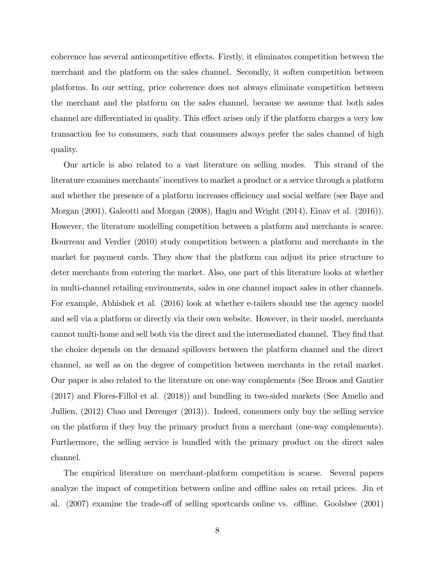coherence has several anticompetitive effects. Firstly, it eliminates competition between the merchant and the platform on the sales channel. Secondly, it soften competition between platforms. In our setting, price coherence does not always eliminate competition between the merchant and the platform on the sales channel, because we assume that both sales channel are differentiated in quality. This effect arises only if the platform charges a very low transaction fee to consumers, such that consumers always prefer the sales channel of high quality.

Our article is also related to a vast literature on selling modes. This strand of the literature examines merchants' incentives to market a product or a service through a platform and whether the presence of a platform increases efficiency and social welfare (see Baye and Morgan (2001), Galeotti and Morgan (2008), Hagiu and Wright (2014), Einav et al. (2016)). However, the literature modelling competition between a platform and merchants is scarce. Bourreau and Verdier (2010) study competition between a platform and merchants in the market for payment cards. They show that the platform can adjust its price structure to deter merchants from entering the market. Also, one part of this literature looks at whether in multi-channel retailing environments, sales in one channel impact sales in other channels. For example, Abhishek et al. (2016) look at whether e-tailers should use the agency model and sell via a platform or directly via their own website. However, in their model, merchants cannot multi-home and sell both via the direct and the intermediated channel. They find that the choice depends on the demand spillovers between the platform channel and the direct channel, as well as on the degree of competition between merchants in the retail market. Our paper is also related to the literature on one-way complements (See Broos and Gautier (2017) and Flores-Fillol et al. (2018)) and bundling in two-sided markets (See Amelio and Jullien, (2012) Chao and Derenger (2013)). Indeed, consumers only buy the selling service on the platform if they buy the primary product from a merchant (one-way complements). Furthermore, the selling service is bundled with the primary product on the direct sales channel.

The empirical literature on merchant-platform competition is scarse. Several papers analyze the impact of competition between online and offline sales on retail prices. Jin et al.  $(2007)$  examine the trade-off of selling sportcards online vs. offline. Goolsbee  $(2001)$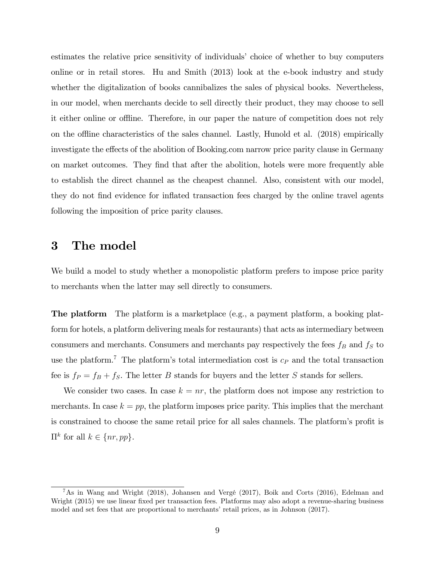estimates the relative price sensitivity of individuals' choice of whether to buy computers online or in retail stores. Hu and Smith (2013) look at the e-book industry and study whether the digitalization of books cannibalizes the sales of physical books. Nevertheless, in our model, when merchants decide to sell directly their product, they may choose to sell it either online or offline. Therefore, in our paper the nature of competition does not rely on the offline characteristics of the sales channel. Lastly, Hunold et al.  $(2018)$  empirically investigate the effects of the abolition of Booking.com narrow price parity clause in Germany on market outcomes. They Önd that after the abolition, hotels were more frequently able to establish the direct channel as the cheapest channel. Also, consistent with our model, they do not find evidence for inflated transaction fees charged by the online travel agents following the imposition of price parity clauses.

# 3 The model

We build a model to study whether a monopolistic platform prefers to impose price parity to merchants when the latter may sell directly to consumers.

The platform The platform is a marketplace (e.g., a payment platform, a booking platform for hotels, a platform delivering meals for restaurants) that acts as intermediary between consumers and merchants. Consumers and merchants pay respectively the fees  $f_B$  and  $f_S$  to use the platform.<sup>7</sup> The platform's total intermediation cost is  $c_P$  and the total transaction fee is  $f_P = f_B + f_S$ . The letter B stands for buyers and the letter S stands for sellers.

We consider two cases. In case  $k = nr$ , the platform does not impose any restriction to merchants. In case  $k = pp$ , the platform imposes price parity. This implies that the merchant is constrained to choose the same retail price for all sales channels. The platform's profit is  $\Pi^k$  for all  $k \in \{nr, pp\}.$ 

<sup>&</sup>lt;sup>7</sup>As in Wang and Wright (2018), Johansen and Vergé (2017), Boik and Corts (2016), Edelman and Wright (2015) we use linear fixed per transaction fees. Platforms may also adopt a revenue-sharing business model and set fees that are proportional to merchants' retail prices, as in Johnson (2017).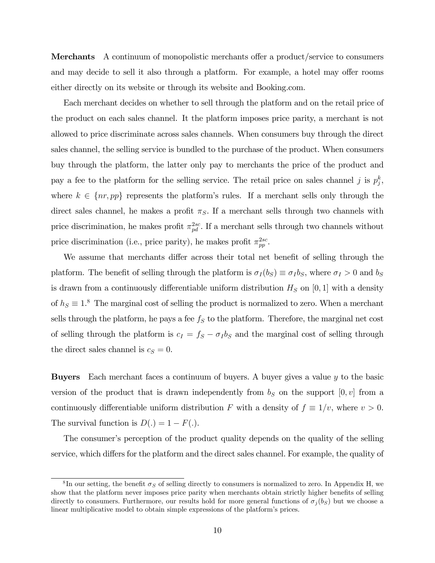Merchants A continuum of monopolistic merchants offer a product/service to consumers and may decide to sell it also through a platform. For example, a hotel may offer rooms either directly on its website or through its website and Booking.com.

Each merchant decides on whether to sell through the platform and on the retail price of the product on each sales channel. It the platform imposes price parity, a merchant is not allowed to price discriminate across sales channels. When consumers buy through the direct sales channel, the selling service is bundled to the purchase of the product. When consumers buy through the platform, the latter only pay to merchants the price of the product and pay a fee to the platform for the selling service. The retail price on sales channel j is  $p_j^k$ , where  $k \in \{nr, pp\}$  represents the platform's rules. If a merchant sells only through the direct sales channel, he makes a profit  $\pi_S$ . If a merchant sells through two channels with price discrimination, he makes profit  $\pi_{pd}^{2sc}$ . If a merchant sells through two channels without price discrimination (i.e., price parity), he makes profit  $\pi_{pp}^{2sc}$ .

We assume that merchants differ across their total net benefit of selling through the platform. The benefit of selling through the platform is  $\sigma_I (b_S) \equiv \sigma_I b_S$ , where  $\sigma_I > 0$  and  $b_S$ is drawn from a continuously differentiable uniform distribution  $H<sub>S</sub>$  on [0, 1] with a density of  $h<sub>S</sub> \equiv 1.8$  The marginal cost of selling the product is normalized to zero. When a merchant sells through the platform, he pays a fee  $f<sub>S</sub>$  to the platform. Therefore, the marginal net cost of selling through the platform is  $c_I = f_S - \sigma_I b_S$  and the marginal cost of selling through the direct sales channel is  $c_S = 0$ .

**Buyers** Each merchant faces a continuum of buyers. A buyer gives a value  $\gamma$  to the basic version of the product that is drawn independently from  $b<sub>S</sub>$  on the support  $[0, v]$  from a continuously differentiable uniform distribution F with a density of  $f \equiv 1/v$ , where  $v > 0$ . The survival function is  $D(.) = 1 - F(.)$ .

The consumer's perception of the product quality depends on the quality of the selling service, which differs for the platform and the direct sales channel. For example, the quality of

 ${}^{8}$ In our setting, the benefit  $\sigma_S$  of selling directly to consumers is normalized to zero. In Appendix H, we show that the platform never imposes price parity when merchants obtain strictly higher benefits of selling directly to consumers. Furthermore, our results hold for more general functions of  $\sigma_i(b_S)$  but we choose a linear multiplicative model to obtain simple expressions of the platform's prices.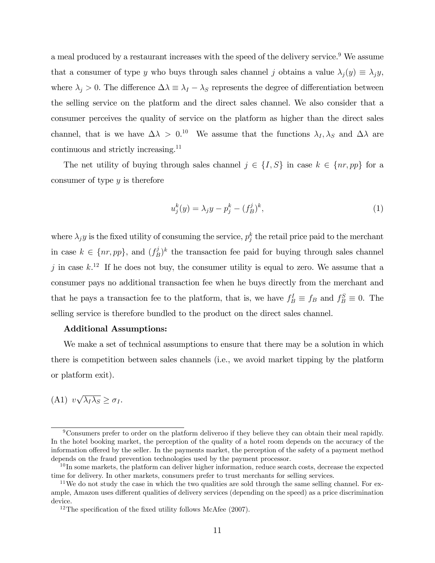a meal produced by a restaurant increases with the speed of the delivery service.<sup>9</sup> We assume that a consumer of type y who buys through sales channel j obtains a value  $\lambda_j(y) \equiv \lambda_j y$ , where  $\lambda_j > 0$ . The difference  $\Delta\lambda \equiv \lambda_I - \lambda_S$  represents the degree of differentiation between the selling service on the platform and the direct sales channel. We also consider that a consumer perceives the quality of service on the platform as higher than the direct sales channel, that is we have  $\Delta \lambda > 0^{10}$  We assume that the functions  $\lambda_I, \lambda_S$  and  $\Delta \lambda$  are continuous and strictly increasing.<sup>11</sup>

The net utility of buying through sales channel  $j \in \{I, S\}$  in case  $k \in \{nr, pp\}$  for a consumer of type  $y$  is therefore

$$
u_j^k(y) = \lambda_j y - p_j^k - (f_B^j)^k,
$$
\n(1)

where  $\lambda_j y$  is the fixed utility of consuming the service,  $p_j^k$  the retail price paid to the merchant in case  $k \in \{nr, pp\}$ , and  $(f_E^j)$  $(b)$ <sup>j</sup> $(b)$ <sup>k</sup> the transaction fee paid for buying through sales channel j in case  $k^{12}$ . If he does not buy, the consumer utility is equal to zero. We assume that a consumer pays no additional transaction fee when he buys directly from the merchant and that he pays a transaction fee to the platform, that is, we have  $f_B^I \equiv f_B$  and  $f_B^S \equiv 0$ . The selling service is therefore bundled to the product on the direct sales channel.

### Additional Assumptions:

We make a set of technical assumptions to ensure that there may be a solution in which there is competition between sales channels (i.e., we avoid market tipping by the platform or platform exit).

# (A1)  $v\sqrt{\lambda_I\lambda_S} \geq \sigma_I$ .

<sup>9</sup>Consumers prefer to order on the platform deliveroo if they believe they can obtain their meal rapidly. In the hotel booking market, the perception of the quality of a hotel room depends on the accuracy of the information offered by the seller. In the payments market, the perception of the safety of a payment method depends on the fraud prevention technologies used by the payment processor.

 $10$  In some markets, the platform can deliver higher information, reduce search costs, decrease the expected time for delivery. In other markets, consumers prefer to trust merchants for selling services.

<sup>&</sup>lt;sup>11</sup>We do not study the case in which the two qualities are sold through the same selling channel. For example, Amazon uses different qualities of delivery services (depending on the speed) as a price discrimination device.

<sup>&</sup>lt;sup>12</sup>The specification of the fixed utility follows McAfee  $(2007)$ .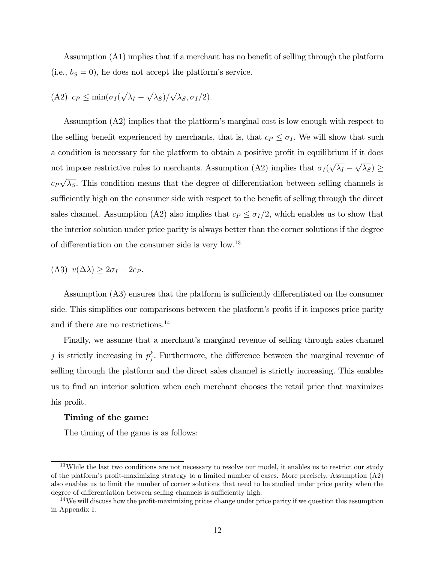Assumption  $(A1)$  implies that if a merchant has no benefit of selling through the platform (i.e.,  $b_S = 0$ ), he does not accept the platform's service.

(A2) 
$$
c_P \leq \min(\sigma_I(\sqrt{\lambda_I} - \sqrt{\lambda_S})/\sqrt{\lambda_S}, \sigma_I/2).
$$

Assumption (A2) implies that the platform's marginal cost is low enough with respect to the selling benefit experienced by merchants, that is, that  $c_P \leq \sigma_I$ . We will show that such a condition is necessary for the platform to obtain a positive profit in equilibrium if it does not impose restrictive rules to merchants. Assumption (A2) implies that  $\sigma_I(\sqrt{\lambda_I} - \sqrt{\lambda_S}) \ge$  $c_P\sqrt{\lambda_S}$ . This condition means that the degree of differentiation between selling channels is sufficiently high on the consumer side with respect to the benefit of selling through the direct sales channel. Assumption (A2) also implies that  $c_P \leq \sigma_I/2$ , which enables us to show that the interior solution under price parity is always better than the corner solutions if the degree of differentiation on the consumer side is very low.<sup>13</sup>

$$
(A3) \ v(\Delta \lambda) \geq 2\sigma_I - 2c_P.
$$

Assumption (A3) ensures that the platform is sufficiently differentiated on the consumer side. This simplifies our comparisons between the platform's profit if it imposes price parity and if there are no restrictions.<sup>14</sup>

Finally, we assume that a merchant's marginal revenue of selling through sales channel j is strictly increasing in  $p_j^k$ . Furthermore, the difference between the marginal revenue of selling through the platform and the direct sales channel is strictly increasing. This enables us to Önd an interior solution when each merchant chooses the retail price that maximizes his profit.

#### Timing of the game:

The timing of the game is as follows:

 $13$ While the last two conditions are not necessary to resolve our model, it enables us to restrict our study of the platform's profit-maximizing strategy to a limited number of cases. More precisely, Assumption (A2) also enables us to limit the number of corner solutions that need to be studied under price parity when the degree of differentiation between selling channels is sufficiently high.

 $14$ We will discuss how the profit-maximizing prices change under price parity if we question this assumption in Appendix I.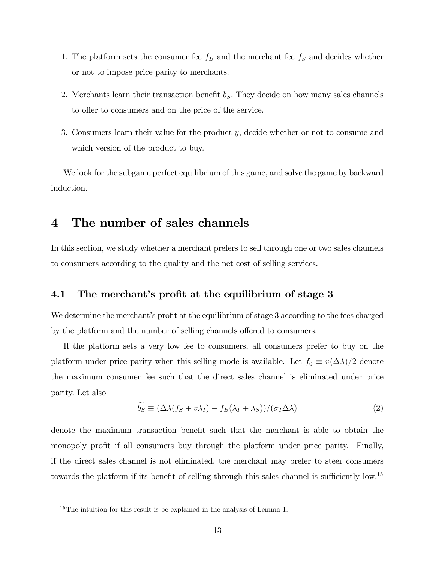- 1. The platform sets the consumer fee  $f_B$  and the merchant fee  $f_S$  and decides whether or not to impose price parity to merchants.
- 2. Merchants learn their transaction benefit  $b<sub>S</sub>$ . They decide on how many sales channels to offer to consumers and on the price of the service.
- 3. Consumers learn their value for the product y, decide whether or not to consume and which version of the product to buy.

We look for the subgame perfect equilibrium of this game, and solve the game by backward induction.

# 4 The number of sales channels

In this section, we study whether a merchant prefers to sell through one or two sales channels to consumers according to the quality and the net cost of selling services.

### 4.1 The merchant's profit at the equilibrium of stage 3

We determine the merchant's profit at the equilibrium of stage 3 according to the fees charged by the platform and the number of selling channels offered to consumers.

If the platform sets a very low fee to consumers, all consumers prefer to buy on the platform under price parity when this selling mode is available. Let  $f_0 \equiv v(\Delta \lambda)/2$  denote the maximum consumer fee such that the direct sales channel is eliminated under price parity. Let also

$$
\widetilde{b_S} \equiv (\Delta\lambda(f_S + v\lambda_I) - f_B(\lambda_I + \lambda_S))/(\sigma_I \Delta\lambda)
$$
\n(2)

denote the maximum transaction benefit such that the merchant is able to obtain the monopoly profit if all consumers buy through the platform under price parity. Finally, if the direct sales channel is not eliminated, the merchant may prefer to steer consumers towards the platform if its benefit of selling through this sales channel is sufficiently low.<sup>15</sup>

<sup>&</sup>lt;sup>15</sup>The intuition for this result is be explained in the analysis of Lemma 1.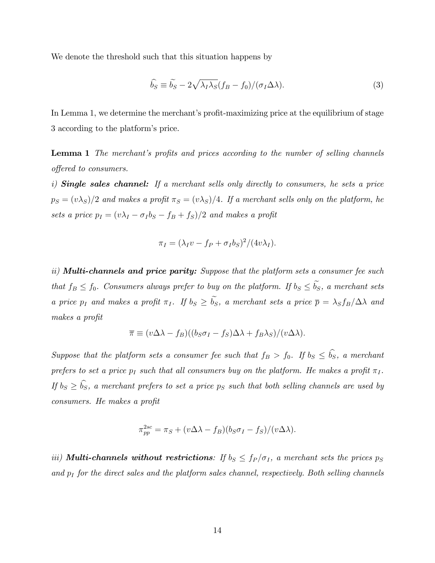We denote the threshold such that this situation happens by

$$
\widehat{b_S} \equiv \widetilde{b_S} - 2\sqrt{\lambda_I \lambda_S} (f_B - f_0) / (\sigma_I \Delta \lambda). \tag{3}
$$

In Lemma 1, we determine the merchant's profit-maximizing price at the equilibrium of stage 3 according to the platform's price.

**Lemma 1** The merchant's profits and prices according to the number of selling channels offered to consumers.

i) Single sales channel: If a merchant sells only directly to consumers, he sets a price  $p_S = (v\lambda_S)/2$  and makes a profit  $\pi_S = (v\lambda_S)/4$ . If a merchant sells only on the platform, he sets a price  $p_I = (v\lambda_I - \sigma_I b_S - f_B + f_S)/2$  and makes a profit

$$
\pi_I = (\lambda_I v - f_P + \sigma_I b_S)^2 / (4v\lambda_I).
$$

ii) **Multi-channels and price parity:** Suppose that the platform sets a consumer fee such that  $f_B \le f_0$ . Consumers always prefer to buy on the platform. If  $b_S \le \tilde{b_S}$ , a merchant sets a price  $p_I$  and makes a profit  $\pi_I$ . If  $b_S \ge \tilde{b_S}$ , a merchant sets a price  $\bar{p} = \lambda_S f_B/\Delta\lambda$  and makes a profit

$$
\overline{\pi} \equiv (v\Delta\lambda - f_B)((b_S\sigma_I - f_S)\Delta\lambda + f_B\lambda_S)/(v\Delta\lambda).
$$

Suppose that the platform sets a consumer fee such that  $f_B > f_0$ . If  $b_S \le \hat{b_S}$ , a merchant prefers to set a price  $p_I$  such that all consumers buy on the platform. He makes a profit  $\pi_I$ . If  $b_S \ge \hat{b_S}$ , a merchant prefers to set a price  $p_S$  such that both selling channels are used by consumers. He makes a profit

$$
\pi_{pp}^{2sc} = \pi_S + (v\Delta\lambda - f_B)(b_S\sigma_I - f_S)/(v\Delta\lambda).
$$

iii) **Multi-channels without restrictions**: If  $b_S \leq f_P / \sigma_I$ , a merchant sets the prices  $p_S$ and  $p_I$  for the direct sales and the platform sales channel, respectively. Both selling channels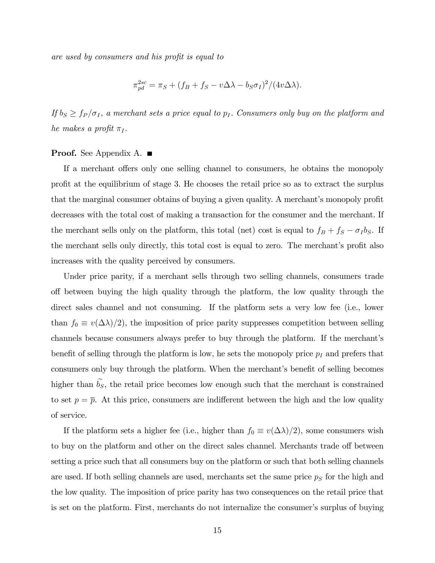are used by consumers and his profit is equal to

$$
\pi_{pd}^{2sc} = \pi_S + (f_B + f_S - v\Delta\lambda - b_S\sigma_I)^2/(4v\Delta\lambda).
$$

If  $b_S \ge f_P / \sigma_I$ , a merchant sets a price equal to  $p_I$ . Consumers only buy on the platform and he makes a profit  $\pi_I$ .

### **Proof.** See Appendix A. ■

If a merchant offers only one selling channel to consumers, he obtains the monopoly profit at the equilibrium of stage 3. He chooses the retail price so as to extract the surplus that the marginal consumer obtains of buying a given quality. A merchant's monopoly profit decreases with the total cost of making a transaction for the consumer and the merchant. If the merchant sells only on the platform, this total (net) cost is equal to  $f_B + f_S - \sigma_I b_S$ . If the merchant sells only directly, this total cost is equal to zero. The merchant's profit also increases with the quality perceived by consumers.

Under price parity, if a merchant sells through two selling channels, consumers trade off between buying the high quality through the platform, the low quality through the direct sales channel and not consuming. If the platform sets a very low fee (i.e., lower than  $f_0 \equiv v(\Delta\lambda)/2$ , the imposition of price parity suppresses competition between selling channels because consumers always prefer to buy through the platform. If the merchant's benefit of selling through the platform is low, he sets the monopoly price  $p_I$  and prefers that consumers only buy through the platform. When the merchant's benefit of selling becomes higher than  $b_s$ , the retail price becomes low enough such that the merchant is constrained to set  $p = \overline{p}$ . At this price, consumers are indifferent between the high and the low quality of service.

If the platform sets a higher fee (i.e., higher than  $f_0 \equiv v(\Delta\lambda)/2$ ), some consumers wish to buy on the platform and other on the direct sales channel. Merchants trade off between setting a price such that all consumers buy on the platform or such that both selling channels are used. If both selling channels are used, merchants set the same price  $p<sub>S</sub>$  for the high and the low quality. The imposition of price parity has two consequences on the retail price that is set on the platform. First, merchants do not internalize the consumer's surplus of buying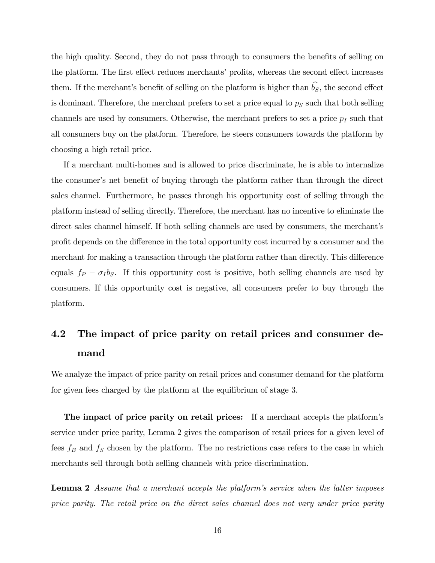the high quality. Second, they do not pass through to consumers the benefits of selling on the platform. The first effect reduces merchants' profits, whereas the second effect increases them. If the merchant's benefit of selling on the platform is higher than  $\widehat{b_S}$ , the second effect is dominant. Therefore, the merchant prefers to set a price equal to  $p<sub>S</sub>$  such that both selling channels are used by consumers. Otherwise, the merchant prefers to set a price  $p_I$  such that all consumers buy on the platform. Therefore, he steers consumers towards the platform by choosing a high retail price.

If a merchant multi-homes and is allowed to price discriminate, he is able to internalize the consumer's net benefit of buying through the platform rather than through the direct sales channel. Furthermore, he passes through his opportunity cost of selling through the platform instead of selling directly. Therefore, the merchant has no incentive to eliminate the direct sales channel himself. If both selling channels are used by consumers, the merchant's profit depends on the difference in the total opportunity cost incurred by a consumer and the merchant for making a transaction through the platform rather than directly. This difference equals  $f_P - \sigma_I b_S$ . If this opportunity cost is positive, both selling channels are used by consumers. If this opportunity cost is negative, all consumers prefer to buy through the platform.

# 4.2 The impact of price parity on retail prices and consumer demand

We analyze the impact of price parity on retail prices and consumer demand for the platform for given fees charged by the platform at the equilibrium of stage 3.

The impact of price parity on retail prices: If a merchant accepts the platform's service under price parity, Lemma 2 gives the comparison of retail prices for a given level of fees  $f_B$  and  $f_S$  chosen by the platform. The no restrictions case refers to the case in which merchants sell through both selling channels with price discrimination.

**Lemma 2** Assume that a merchant accepts the platform's service when the latter imposes price parity. The retail price on the direct sales channel does not vary under price parity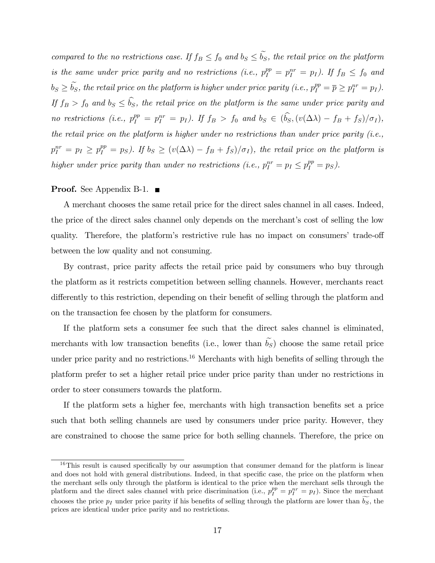compared to the no restrictions case. If  $f_B \leq f_0$  and  $b_S \leq \tilde{b_S}$ , the retail price on the platform is the same under price parity and no restrictions (i.e.,  $p_I^{pp} = p_I^{nr} = p_I$ ). If  $f_B \le f_0$  and  $b_S \geq \widetilde{b_S}$ , the retail price on the platform is higher under price parity (i.e.,  $p_I^{pp} = \overline{p} \geq p_I^{nr} = p_I$ ). If  $f_B > f_0$  and  $b_S \leq \hat{b}_S$ , the retail price on the platform is the same under price parity and no restrictions (i.e.,  $p_I^{pp} = p_I^{nr} = p_I$ ). If  $f_B > f_0$  and  $b_S \in (\widehat{b_S}, (v(\Delta \lambda) - f_B + f_S)/\sigma_I)$ , the retail price on the platform is higher under no restrictions than under price parity (i.e.,  $p_I^{nr} = p_I \ge p_I^{pp} = p_S$ ). If  $b_S \ge (v(\Delta \lambda) - f_B + f_S)/\sigma_I$ , the retail price on the platform is higher under price parity than under no restrictions (i.e.,  $p_I^{nr} = p_I \leq p_I^{pp} = p_S$ ).

### Proof. See Appendix B-1. ■

A merchant chooses the same retail price for the direct sales channel in all cases. Indeed, the price of the direct sales channel only depends on the merchant's cost of selling the low quality. Therefore, the platform's restrictive rule has no impact on consumers' trade-off between the low quality and not consuming.

By contrast, price parity affects the retail price paid by consumers who buy through the platform as it restricts competition between selling channels. However, merchants react differently to this restriction, depending on their benefit of selling through the platform and on the transaction fee chosen by the platform for consumers.

If the platform sets a consumer fee such that the direct sales channel is eliminated, merchants with low transaction benefits (i.e., lower than  $\widetilde{b_S}$ ) choose the same retail price under price parity and no restrictions.<sup>16</sup> Merchants with high benefits of selling through the platform prefer to set a higher retail price under price parity than under no restrictions in order to steer consumers towards the platform.

If the platform sets a higher fee, merchants with high transaction benefits set a price such that both selling channels are used by consumers under price parity. However, they are constrained to choose the same price for both selling channels. Therefore, the price on

 $16$ This result is caused specifically by our assumption that consumer demand for the platform is linear and does not hold with general distributions. Indeed, in that specific case, the price on the platform when the merchant sells only through the platform is identical to the price when the merchant sells through the platform and the direct sales channel with price discrimination (i.e.,  $p_I^{pp} = p_I^{nr} = p_I$ ). Since the merchant chooses the price  $p_I$  under price parity if his benefits of selling through the platform are lower than  $b_S$ , the prices are identical under price parity and no restrictions.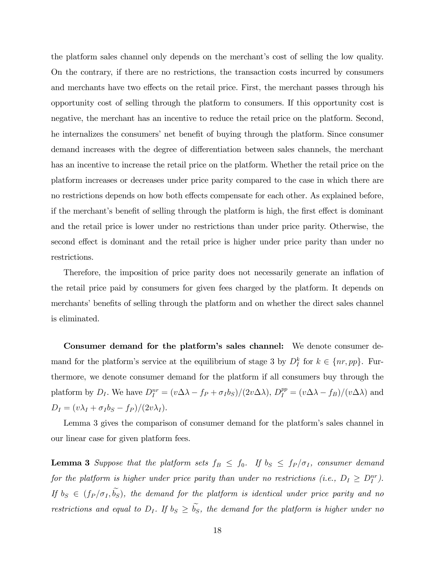the platform sales channel only depends on the merchant's cost of selling the low quality. On the contrary, if there are no restrictions, the transaction costs incurred by consumers and merchants have two effects on the retail price. First, the merchant passes through his opportunity cost of selling through the platform to consumers. If this opportunity cost is negative, the merchant has an incentive to reduce the retail price on the platform. Second, he internalizes the consumers' net benefit of buying through the platform. Since consumer demand increases with the degree of differentiation between sales channels, the merchant has an incentive to increase the retail price on the platform. Whether the retail price on the platform increases or decreases under price parity compared to the case in which there are no restrictions depends on how both effects compensate for each other. As explained before, if the merchant's benefit of selling through the platform is high, the first effect is dominant and the retail price is lower under no restrictions than under price parity. Otherwise, the second effect is dominant and the retail price is higher under price parity than under no restrictions.

Therefore, the imposition of price parity does not necessarily generate an inflation of the retail price paid by consumers for given fees charged by the platform. It depends on merchants' benefits of selling through the platform and on whether the direct sales channel is eliminated.

Consumer demand for the platform's sales channel: We denote consumer demand for the platform's service at the equilibrium of stage 3 by  $D_I^k$  for  $k \in \{nr, pp\}$ . Furthermore, we denote consumer demand for the platform if all consumers buy through the platform by  $D_I$ . We have  $D_I^{nr} = (v\Delta\lambda - f_P + \sigma_I b_S)/(2v\Delta\lambda)$ ,  $D_I^{pp} = (v\Delta\lambda - f_B)/(v\Delta\lambda)$  and  $D_I = (v\lambda_I + \sigma_I b_S - f_P)/(2v\lambda_I).$ 

Lemma 3 gives the comparison of consumer demand for the platformís sales channel in our linear case for given platform fees.

**Lemma 3** Suppose that the platform sets  $f_B \leq f_0$ . If  $b_S \leq f_P / \sigma_I$ , consumer demand for the platform is higher under price parity than under no restrictions (i.e.,  $D_I \geq D_I^{nr}$ ). If  $b_S \in (f_P / \sigma_I, \tilde{b_S})$ , the demand for the platform is identical under price parity and no restrictions and equal to  $D_I$ . If  $b_S \geq \tilde{b_S}$ , the demand for the platform is higher under no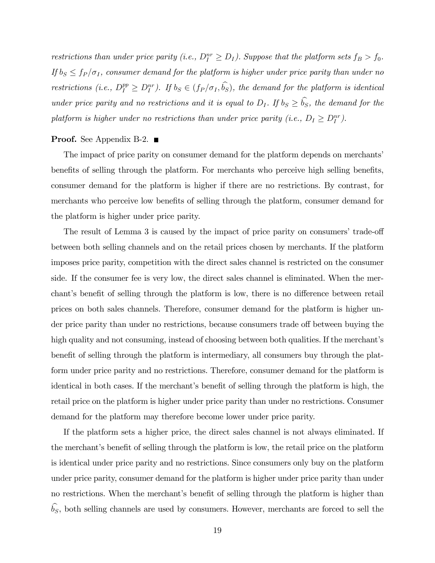restrictions than under price parity (i.e.,  $D_I^{nr} \geq D_I$ ). Suppose that the platform sets  $f_B > f_0$ . If  $b_S \n\t\leq f_P / \sigma_I$ , consumer demand for the platform is higher under price parity than under no restrictions (i.e.,  $D_I^{pp} \geq D_I^{nr}$ ). If  $b_S \in (f_P/\sigma_I, \widehat{b_S})$ , the demand for the platform is identical under price parity and no restrictions and it is equal to  $D_I$ . If  $b_S \geq \hat{b_S}$ , the demand for the platform is higher under no restrictions than under price parity (i.e.,  $D_I \geq D_I^{nr}$ ).

### **Proof.** See Appendix B-2.  $\blacksquare$

The impact of price parity on consumer demand for the platform depends on merchants' benefits of selling through the platform. For merchants who perceive high selling benefits, consumer demand for the platform is higher if there are no restrictions. By contrast, for merchants who perceive low benefits of selling through the platform, consumer demand for the platform is higher under price parity.

The result of Lemma 3 is caused by the impact of price parity on consumers' trade-off between both selling channels and on the retail prices chosen by merchants. If the platform imposes price parity, competition with the direct sales channel is restricted on the consumer side. If the consumer fee is very low, the direct sales channel is eliminated. When the merchant's benefit of selling through the platform is low, there is no difference between retail prices on both sales channels. Therefore, consumer demand for the platform is higher under price parity than under no restrictions, because consumers trade off between buying the high quality and not consuming, instead of choosing between both qualities. If the merchant's benefit of selling through the platform is intermediary, all consumers buy through the platform under price parity and no restrictions. Therefore, consumer demand for the platform is identical in both cases. If the merchant's benefit of selling through the platform is high, the retail price on the platform is higher under price parity than under no restrictions. Consumer demand for the platform may therefore become lower under price parity.

If the platform sets a higher price, the direct sales channel is not always eliminated. If the merchant's benefit of selling through the platform is low, the retail price on the platform is identical under price parity and no restrictions. Since consumers only buy on the platform under price parity, consumer demand for the platform is higher under price parity than under no restrictions. When the merchant's benefit of selling through the platform is higher than  $\widehat{b_S}$ , both selling channels are used by consumers. However, merchants are forced to sell the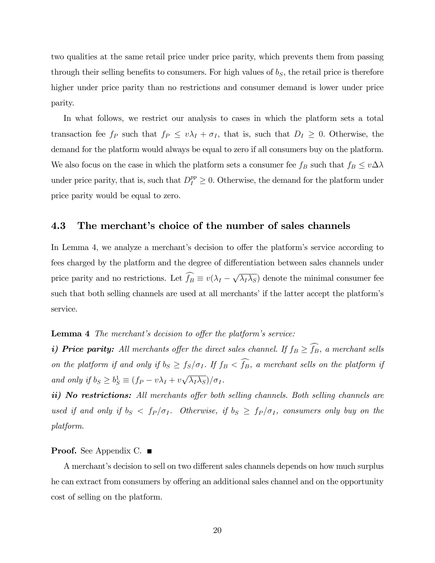two qualities at the same retail price under price parity, which prevents them from passing through their selling benefits to consumers. For high values of  $b<sub>S</sub>$ , the retail price is therefore higher under price parity than no restrictions and consumer demand is lower under price parity.

In what follows, we restrict our analysis to cases in which the platform sets a total transaction fee  $f_P$  such that  $f_P \leq v\lambda_I + \sigma_I$ , that is, such that  $D_I \geq 0$ . Otherwise, the demand for the platform would always be equal to zero if all consumers buy on the platform. We also focus on the case in which the platform sets a consumer fee  $f_B$  such that  $f_B \leq v \Delta \lambda$ under price parity, that is, such that  $D_I^{pp} \geq 0$ . Otherwise, the demand for the platform under price parity would be equal to zero.

### 4.3 The merchant's choice of the number of sales channels

In Lemma 4, we analyze a merchant's decision to offer the platform's service according to fees charged by the platform and the degree of differentiation between sales channels under price parity and no restrictions. Let  $\widehat{f_B} \equiv v(\lambda_I - \sqrt{\lambda_I \lambda_S})$  denote the minimal consumer fee such that both selling channels are used at all merchants' if the latter accept the platform's service.

### **Lemma 4** The merchant's decision to offer the platform's service:

i) Price parity: All merchants offer the direct sales channel. If  $f_B \geq \widehat{f_B}$ , a merchant sells on the platform if and only if  $b_S \geq f_S/\sigma_I$ . If  $f_B < \widehat{f_B}$ , a merchant sells on the platform if and only if  $b_S \geq b_S^1 \equiv (f_P - v\lambda_I + v\sqrt{\lambda_I \lambda_S})/\sigma_I$ .

ii) No restrictions: All merchants offer both selling channels. Both selling channels are used if and only if  $b_S < f_P / \sigma_I$ . Otherwise, if  $b_S \geq f_P / \sigma_I$ , consumers only buy on the platform.

#### **Proof.** See Appendix C. ■

A merchant's decision to sell on two different sales channels depends on how much surplus he can extract from consumers by offering an additional sales channel and on the opportunity cost of selling on the platform.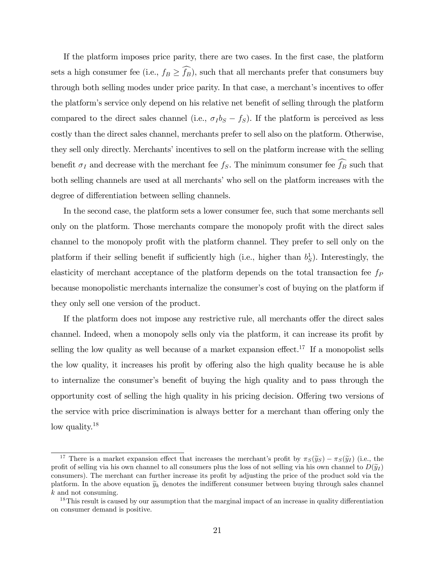If the platform imposes price parity, there are two cases. In the first case, the platform sets a high consumer fee (i.e.,  $f_B \geq \widehat{f_B}$ ), such that all merchants prefer that consumers buy through both selling modes under price parity. In that case, a merchant's incentives to offer the platform's service only depend on his relative net benefit of selling through the platform compared to the direct sales channel (i.e.,  $\sigma_I b_S - f_S$ ). If the platform is perceived as less costly than the direct sales channel, merchants prefer to sell also on the platform. Otherwise, they sell only directly. Merchants' incentives to sell on the platform increase with the selling benefit  $\sigma_I$  and decrease with the merchant fee  $f_S$ . The minimum consumer fee  $\widehat{f_B}$  such that both selling channels are used at all merchants' who sell on the platform increases with the degree of differentiation between selling channels.

In the second case, the platform sets a lower consumer fee, such that some merchants sell only on the platform. Those merchants compare the monopoly profit with the direct sales channel to the monopoly profit with the platform channel. They prefer to sell only on the platform if their selling benefit if sufficiently high (i.e., higher than  $b_S^1$ ). Interestingly, the elasticity of merchant acceptance of the platform depends on the total transaction fee  $f_P$ because monopolistic merchants internalize the consumer's cost of buying on the platform if they only sell one version of the product.

If the platform does not impose any restrictive rule, all merchants offer the direct sales channel. Indeed, when a monopoly sells only via the platform, it can increase its profit by selling the low quality as well because of a market expansion effect.<sup>17</sup> If a monopolist sells the low quality, it increases his profit by offering also the high quality because he is able to internalize the consumer's benefit of buying the high quality and to pass through the opportunity cost of selling the high quality in his pricing decision. Offering two versions of the service with price discrimination is always better for a merchant than offering only the low quality.<sup>18</sup>

<sup>&</sup>lt;sup>17</sup> There is a market expansion effect that increases the merchant's profit by  $\pi_S(\tilde{y}_S) - \pi_S(\tilde{y}_I)$  (i.e., the profit of selling via his own channel to all consumers plus the loss of not selling via his own channel to  $D(\tilde{y}_I)$ consumers). The merchant can further increase its profit by adjusting the price of the product sold via the platform. In the above equation  $\tilde{y}_k$  denotes the indifferent consumer between buying through sales channel k and not consuming.

 $18$ This result is caused by our assumption that the marginal impact of an increase in quality differentiation on consumer demand is positive.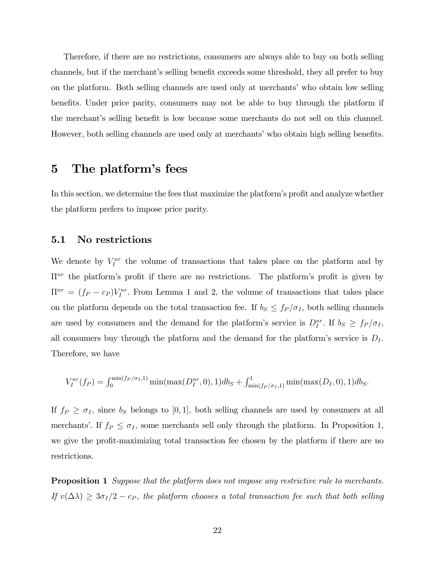Therefore, if there are no restrictions, consumers are always able to buy on both selling channels, but if the merchant's selling benefit exceeds some threshold, they all prefer to buy on the platform. Both selling channels are used only at merchants' who obtain low selling benefits. Under price parity, consumers may not be able to buy through the platform if the merchant's selling benefit is low because some merchants do not sell on this channel. However, both selling channels are used only at merchants' who obtain high selling benefits.

# 5 The platform's fees

In this section, we determine the fees that maximize the platform's profit and analyze whether the platform prefers to impose price parity.

### 5.1 No restrictions

We denote by  $V_I^{nr}$  the volume of transactions that takes place on the platform and by  $\Pi^{nr}$  the platform's profit if there are no restrictions. The platform's profit is given by  $\Pi^{nr} = (f_P - c_P) V_I^{nr}$ . From Lemma 1 and 2, the volume of transactions that takes place on the platform depends on the total transaction fee. If  $b_S \leq f_P / \sigma_I$ , both selling channels are used by consumers and the demand for the platform's service is  $D_I^{nr}$ . If  $b_S \geq f_P / \sigma_I$ , all consumers buy through the platform and the demand for the platform's service is  $D<sub>I</sub>$ . Therefore, we have

$$
V_I^{nr}(f_P) = \int_0^{\min(f_P/\sigma_I, 1)} \min(\max(D_I^{nr}, 0), 1) db_S + \int_{\min(f_P/\sigma_I, 1)}^1 \min(\max(D_I, 0), 1) db_S.
$$

If  $f_P \geq \sigma_I$ , since  $b_S$  belongs to [0, 1], both selling channels are used by consumers at all merchants'. If  $f_P \leq \sigma_I$ , some merchants sell only through the platform. In Proposition 1, we give the profit-maximizing total transaction fee chosen by the platform if there are no restrictions.

**Proposition 1** Suppose that the platform does not impose any restrictive rule to merchants. If  $v(\Delta\lambda) \geq 3\sigma_I/2 - c_P$ , the platform chooses a total transaction fee such that both selling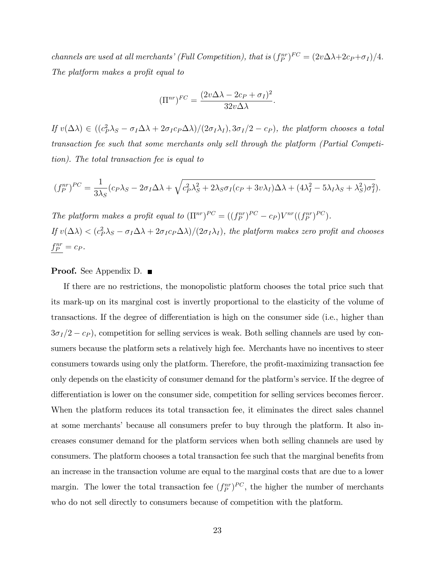channels are used at all merchants' (Full Competition), that is  $(f_P^{nr})^{FC} = (2v\Delta\lambda + 2c_P + \sigma_I)/4$ . The platform makes a profit equal to

$$
(\Pi^{nr})^{FC} = \frac{(2v\Delta\lambda - 2c_P + \sigma_I)^2}{32v\Delta\lambda}.
$$

If  $v(\Delta \lambda) \in ((c_P^2 \lambda_S - \sigma_I \Delta \lambda + 2\sigma_I c_P \Delta \lambda)/(2\sigma_I \lambda_I), 3\sigma_I/2 - c_P)$ , the platform chooses a total transaction fee such that some merchants only sell through the platform (Partial Competition). The total transaction fee is equal to

$$
(f_P^{nr})^{PC} = \frac{1}{3\lambda_S} (c_P \lambda_S - 2\sigma_I \Delta \lambda + \sqrt{c_P^2 \lambda_S^2 + 2\lambda_S \sigma_I (c_P + 3v\lambda_I)\Delta \lambda + (4\lambda_I^2 - 5\lambda_I \lambda_S + \lambda_S^2)\sigma_I^2}).
$$

The platform makes a profit equal to  $(\Pi^{nr})^{PC} = ((f_P^{nr})^{PC} - c_P)V^{nr}((f_P^{nr})^{PC})$ .

If  $v(\Delta\lambda) < (c_P^2\lambda_S - \sigma_I\Delta\lambda + 2\sigma_I c_P\Delta\lambda)/(2\sigma_I\lambda_I)$ , the platform makes zero profit and chooses  $f_P^{nr} = c_P.$ 

### **Proof.** See Appendix D. ■

If there are no restrictions, the monopolistic platform chooses the total price such that its mark-up on its marginal cost is invertly proportional to the elasticity of the volume of transactions. If the degree of differentiation is high on the consumer side (i.e., higher than  $3\sigma_I/2 - c_P$ , competition for selling services is weak. Both selling channels are used by consumers because the platform sets a relatively high fee. Merchants have no incentives to steer consumers towards using only the platform. Therefore, the profit-maximizing transaction fee only depends on the elasticity of consumer demand for the platform's service. If the degree of differentiation is lower on the consumer side, competition for selling services becomes fiercer. When the platform reduces its total transaction fee, it eliminates the direct sales channel at some merchantsí because all consumers prefer to buy through the platform. It also increases consumer demand for the platform services when both selling channels are used by consumers. The platform chooses a total transaction fee such that the marginal benefits from an increase in the transaction volume are equal to the marginal costs that are due to a lower margin. The lower the total transaction fee  $(f_P^{nr})^{PC}$ , the higher the number of merchants who do not sell directly to consumers because of competition with the platform.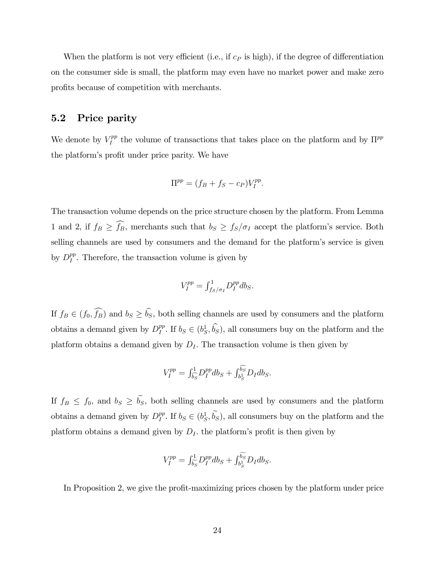When the platform is not very efficient (i.e., if  $c<sub>P</sub>$  is high), if the degree of differentiation on the consumer side is small, the platform may even have no market power and make zero profits because of competition with merchants.

### 5.2 Price parity

We denote by  $V_I^{pp}$  $I_I^{pp}$  the volume of transactions that takes place on the platform and by  $\Pi^{pp}$ the platform's profit under price parity. We have

$$
\Pi^{pp} = (f_B + f_S - c_P)V_I^{pp}.
$$

The transaction volume depends on the price structure chosen by the platform. From Lemma 1 and 2, if  $f_B \geq \widehat{f_B}$ , merchants such that  $b_S \geq f_S/\sigma_I$  accept the platform's service. Both selling channels are used by consumers and the demand for the platform's service is given by  $D_I^{pp}$  $I_I^{pp}$ . Therefore, the transaction volume is given by

$$
V_I^{pp} = \int_{f_S/\sigma_I}^1 D_I^{pp} db_S.
$$

If  $f_B \in (f_0, \widehat{f_B})$  and  $b_S \ge \widehat{b_S}$ , both selling channels are used by consumers and the platform obtains a demand given by  $D_I^{pp}$  $I_I^{pp}$ . If  $b_S \in (b_S^1, \dot{b}_S)$ , all consumers buy on the platform and the platform obtains a demand given by  $D<sub>I</sub>$ . The transaction volume is then given by

$$
V_I^{pp} = \int_{\widehat{b_S}}^1 D_I^{pp} db_S + \int_{b_S^1}^{\widehat{b_S}} D_I db_S.
$$

If  $f_B \leq f_0$ , and  $b_S \geq \tilde{b_S}$ , both selling channels are used by consumers and the platform obtains a demand given by  $D_I^{pp}$  $I_I^{pp}$ . If  $b_S \in (b_S^1, b_S^2)$ , all consumers buy on the platform and the platform obtains a demand given by  $D<sub>I</sub>$ , the platform's profit is then given by

$$
V_I^{pp} = \int_{\widetilde{b_S}}^1 D_I^{pp} db_S + \int_{b_S^1}^{\widetilde{b_S}} D_I db_S.
$$

In Proposition 2, we give the profit-maximizing prices chosen by the platform under price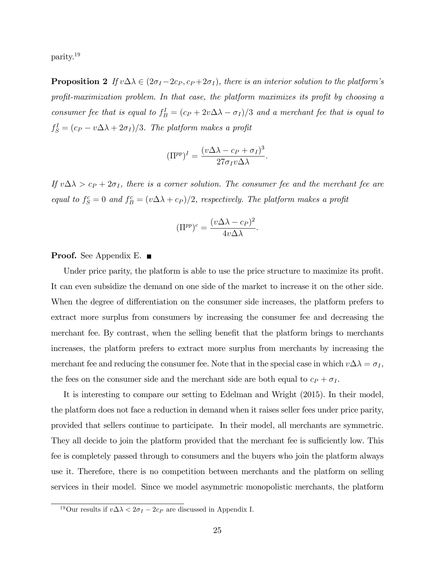parity.<sup>19</sup>

**Proposition 2** If  $v \Delta \lambda \in (2\sigma_I - 2c_P, c_P + 2\sigma_I)$ , there is an interior solution to the platform's profit-maximization problem. In that case, the platform maximizes its profit by choosing a consumer fee that is equal to  $f_B^I = (c_P + 2v\Delta\lambda - \sigma_I)/3$  and a merchant fee that is equal to  $f_S^I = (c_P - v \Delta \lambda + 2\sigma_I)/3$ . The platform makes a profit

$$
(\Pi^{pp})^I = \frac{(v\Delta\lambda - c_P + \sigma_I)^3}{27\sigma_I v \Delta\lambda}.
$$

If  $v \Delta \lambda > c_P + 2\sigma_I$ , there is a corner solution. The consumer fee and the merchant fee are equal to  $f_S^c = 0$  and  $f_B^c = (v \Delta \lambda + c_P)/2$ , respectively. The platform makes a profit

$$
(\Pi^{pp})^c = \frac{(v\Delta\lambda - c_P)^2}{4v\Delta\lambda}.
$$

### **Proof.** See Appendix E.  $\blacksquare$

Under price parity, the platform is able to use the price structure to maximize its profit. It can even subsidize the demand on one side of the market to increase it on the other side. When the degree of differentiation on the consumer side increases, the platform prefers to extract more surplus from consumers by increasing the consumer fee and decreasing the merchant fee. By contrast, when the selling benefit that the platform brings to merchants increases, the platform prefers to extract more surplus from merchants by increasing the merchant fee and reducing the consumer fee. Note that in the special case in which  $v \Delta \lambda = \sigma_I$ , the fees on the consumer side and the merchant side are both equal to  $c_P + \sigma_I$ .

It is interesting to compare our setting to Edelman and Wright (2015). In their model, the platform does not face a reduction in demand when it raises seller fees under price parity, provided that sellers continue to participate. In their model, all merchants are symmetric. They all decide to join the platform provided that the merchant fee is sufficiently low. This fee is completely passed through to consumers and the buyers who join the platform always use it. Therefore, there is no competition between merchants and the platform on selling services in their model. Since we model asymmetric monopolistic merchants, the platform

<sup>&</sup>lt;sup>19</sup>Our results if  $v \Delta \lambda < 2\sigma_I - 2c_P$  are discussed in Appendix I.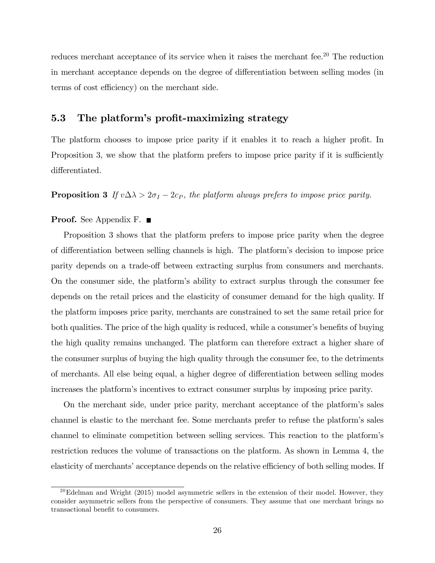reduces merchant acceptance of its service when it raises the merchant fee.<sup>20</sup> The reduction in merchant acceptance depends on the degree of differentiation between selling modes (in terms of cost efficiency) on the merchant side.

### 5.3 The platform's profit-maximizing strategy

The platform chooses to impose price parity if it enables it to reach a higher profit. In Proposition 3, we show that the platform prefers to impose price parity if it is sufficiently differentiated.

**Proposition 3** If  $v \Delta \lambda > 2\sigma_I - 2c_P$ , the platform always prefers to impose price parity.

### Proof. See Appendix F. ■

Proposition 3 shows that the platform prefers to impose price parity when the degree of differentiation between selling channels is high. The platform's decision to impose price parity depends on a trade-off between extracting surplus from consumers and merchants. On the consumer side, the platformís ability to extract surplus through the consumer fee depends on the retail prices and the elasticity of consumer demand for the high quality. If the platform imposes price parity, merchants are constrained to set the same retail price for both qualities. The price of the high quality is reduced, while a consumer's benefits of buying the high quality remains unchanged. The platform can therefore extract a higher share of the consumer surplus of buying the high quality through the consumer fee, to the detriments of merchants. All else being equal, a higher degree of differentiation between selling modes increases the platform's incentives to extract consumer surplus by imposing price parity.

On the merchant side, under price parity, merchant acceptance of the platformís sales channel is elastic to the merchant fee. Some merchants prefer to refuse the platform's sales channel to eliminate competition between selling services. This reaction to the platformís restriction reduces the volume of transactions on the platform. As shown in Lemma 4, the elasticity of merchants' acceptance depends on the relative efficiency of both selling modes. If

 $^{20}$ Edelman and Wright (2015) model asymmetric sellers in the extension of their model. However, they consider asymmetric sellers from the perspective of consumers. They assume that one merchant brings no transactional benefit to consumers.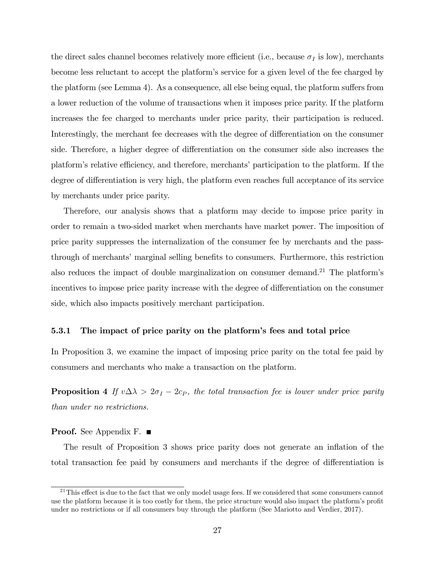the direct sales channel becomes relatively more efficient (i.e., because  $\sigma_I$  is low), merchants become less reluctant to accept the platform's service for a given level of the fee charged by the platform (see Lemma 4). As a consequence, all else being equal, the platform suffers from a lower reduction of the volume of transactions when it imposes price parity. If the platform increases the fee charged to merchants under price parity, their participation is reduced. Interestingly, the merchant fee decreases with the degree of differentiation on the consumer side. Therefore, a higher degree of differentiation on the consumer side also increases the platform's relative efficiency, and therefore, merchants' participation to the platform. If the degree of differentiation is very high, the platform even reaches full acceptance of its service by merchants under price parity.

Therefore, our analysis shows that a platform may decide to impose price parity in order to remain a two-sided market when merchants have market power. The imposition of price parity suppresses the internalization of the consumer fee by merchants and the passthrough of merchants' marginal selling benefits to consumers. Furthermore, this restriction also reduces the impact of double marginalization on consumer demand.<sup>21</sup> The platform's incentives to impose price parity increase with the degree of differentiation on the consumer side, which also impacts positively merchant participation.

### 5.3.1 The impact of price parity on the platform's fees and total price

In Proposition 3, we examine the impact of imposing price parity on the total fee paid by consumers and merchants who make a transaction on the platform.

**Proposition 4** If  $v \Delta \lambda > 2\sigma_I - 2c_P$ , the total transaction fee is lower under price parity than under no restrictions.

#### **Proof.** See Appendix F. ■

The result of Proposition 3 shows price parity does not generate an inflation of the total transaction fee paid by consumers and merchants if the degree of differentiation is

 $21$ This effect is due to the fact that we only model usage fees. If we considered that some consumers cannot use the platform because it is too costly for them, the price structure would also impact the platform's profit under no restrictions or if all consumers buy through the platform (See Mariotto and Verdier, 2017).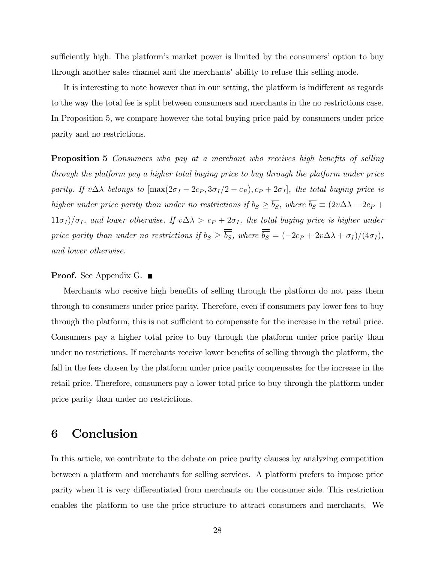sufficiently high. The platform's market power is limited by the consumers' option to buy through another sales channel and the merchants' ability to refuse this selling mode.

It is interesting to note however that in our setting, the platform is indifferent as regards to the way the total fee is split between consumers and merchants in the no restrictions case. In Proposition 5, we compare however the total buying price paid by consumers under price parity and no restrictions.

**Proposition 5** Consumers who pay at a merchant who receives high benefits of selling through the platform pay a higher total buying price to buy through the platform under price parity. If  $v \Delta \lambda$  belongs to  $[\max(2\sigma_I - 2c_P, 3\sigma_I/2 - c_P), c_P + 2\sigma_I]$ , the total buying price is higher under price parity than under no restrictions if  $b_S \ge \overline{b_S}$ , where  $\overline{b_S} \equiv (2v\Delta\lambda - 2c_P +$  $11\sigma_I/\sigma_I$ , and lower otherwise. If  $v\Delta\lambda > c_P + 2\sigma_I$ , the total buying price is higher under price parity than under no restrictions if  $b_S \ge \overline{b_S}$ , where  $\overline{b_S} = (-2c_P + 2v\Delta\lambda + \sigma_I)/(4\sigma_I)$ , and lower otherwise.

### **Proof.** See Appendix G. ■

Merchants who receive high benefits of selling through the platform do not pass them through to consumers under price parity. Therefore, even if consumers pay lower fees to buy through the platform, this is not sufficient to compensate for the increase in the retail price. Consumers pay a higher total price to buy through the platform under price parity than under no restrictions. If merchants receive lower benefits of selling through the platform, the fall in the fees chosen by the platform under price parity compensates for the increase in the retail price. Therefore, consumers pay a lower total price to buy through the platform under price parity than under no restrictions.

# 6 Conclusion

In this article, we contribute to the debate on price parity clauses by analyzing competition between a platform and merchants for selling services. A platform prefers to impose price parity when it is very differentiated from merchants on the consumer side. This restriction enables the platform to use the price structure to attract consumers and merchants. We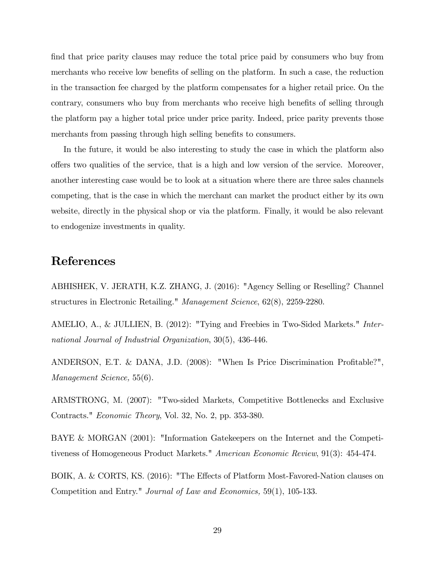find that price parity clauses may reduce the total price paid by consumers who buy from merchants who receive low benefits of selling on the platform. In such a case, the reduction in the transaction fee charged by the platform compensates for a higher retail price. On the contrary, consumers who buy from merchants who receive high benefits of selling through the platform pay a higher total price under price parity. Indeed, price parity prevents those merchants from passing through high selling benefits to consumers.

In the future, it would be also interesting to study the case in which the platform also o§ers two qualities of the service, that is a high and low version of the service. Moreover, another interesting case would be to look at a situation where there are three sales channels competing, that is the case in which the merchant can market the product either by its own website, directly in the physical shop or via the platform. Finally, it would be also relevant to endogenize investments in quality.

# References

ABHISHEK, V. JERATH, K.Z. ZHANG, J. (2016): "Agency Selling or Reselling? Channel structures in Electronic Retailing." Management Science, 62(8), 2259-2280.

AMELIO, A., & JULLIEN, B. (2012): "Tying and Freebies in Two-Sided Markets." International Journal of Industrial Organization, 30(5), 436-446.

ANDERSON, E.T. & DANA, J.D. (2008): "When Is Price Discrimination Profitable?", Management Science, 55(6).

ARMSTRONG, M. (2007): "Two-sided Markets, Competitive Bottlenecks and Exclusive Contracts." Economic Theory, Vol. 32, No. 2, pp. 353-380.

BAYE & MORGAN (2001): "Information Gatekeepers on the Internet and the Competitiveness of Homogeneous Product Markets." American Economic Review, 91(3): 454-474.

BOIK, A. & CORTS, KS. (2016): "The Effects of Platform Most-Favored-Nation clauses on Competition and Entry." Journal of Law and Economics, 59(1), 105-133.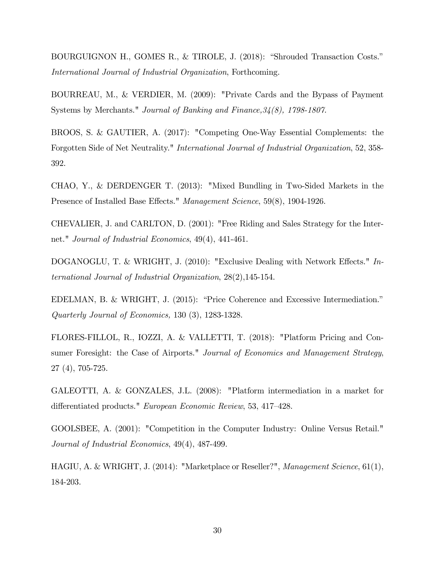BOURGUIGNON H., GOMES R., & TIROLE, J. (2018): "Shrouded Transaction Costs." International Journal of Industrial Organization, Forthcoming.

BOURREAU, M., & VERDIER, M. (2009): "Private Cards and the Bypass of Payment Systems by Merchants." Journal of Banking and Finance,34(8), 1798-1807.

BROOS, S. & GAUTIER, A. (2017): "Competing One-Way Essential Complements: the Forgotten Side of Net Neutrality." International Journal of Industrial Organization, 52, 358- 392.

CHAO, Y., & DERDENGER T. (2013): "Mixed Bundling in Two-Sided Markets in the Presence of Installed Base Effects." Management Science, 59(8), 1904-1926.

CHEVALIER, J. and CARLTON, D. (2001): "Free Riding and Sales Strategy for the Internet." Journal of Industrial Economics, 49(4), 441-461.

DOGANOGLU, T. & WRIGHT, J. (2010): "Exclusive Dealing with Network Effects." International Journal of Industrial Organization, 28(2),145-154.

EDELMAN, B. & WRIGHT, J. (2015): "Price Coherence and Excessive Intermediation." Quarterly Journal of Economics, 130 (3), 1283-1328.

FLORES-FILLOL, R., IOZZI, A. & VALLETTI, T. (2018): "Platform Pricing and Consumer Foresight: the Case of Airports." Journal of Economics and Management Strategy, 27 (4), 705-725.

GALEOTTI, A. & GONZALES, J.L. (2008): "Platform intermediation in a market for differentiated products." European Economic Review, 53, 417-428.

GOOLSBEE, A. (2001): "Competition in the Computer Industry: Online Versus Retail." Journal of Industrial Economics, 49(4), 487-499.

HAGIU, A. & WRIGHT, J. (2014): "Marketplace or Reseller?", Management Science, 61(1), 184-203.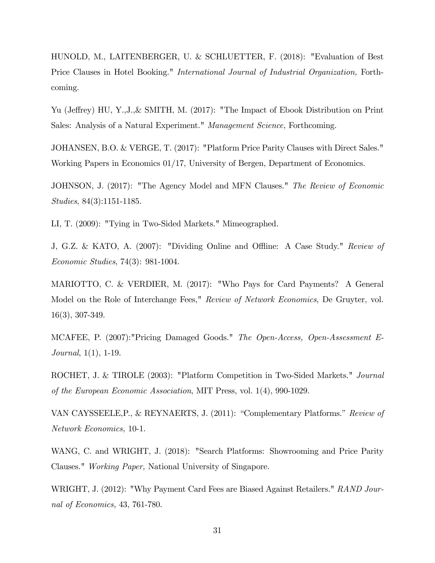HUNOLD, M., LAITENBERGER, U. & SCHLUETTER, F. (2018): "Evaluation of Best Price Clauses in Hotel Booking." *International Journal of Industrial Organization*, Forthcoming.

Yu (Jeffrey) HU, Y.,J., & SMITH, M. (2017): "The Impact of Ebook Distribution on Print Sales: Analysis of a Natural Experiment." Management Science, Forthcoming.

JOHANSEN, B.O. & VERGE, T. (2017): "Platform Price Parity Clauses with Direct Sales." Working Papers in Economics 01/17, University of Bergen, Department of Economics.

JOHNSON, J. (2017): "The Agency Model and MFN Clauses." The Review of Economic Studies, 84(3):1151-1185.

LI, T. (2009): "Tying in Two-Sided Markets." Mimeographed.

J, G.Z. & KATO, A. (2007): "Dividing Online and Offline: A Case Study." Review of Economic Studies, 74(3): 981-1004.

MARIOTTO, C. & VERDIER, M. (2017): "Who Pays for Card Payments? A General Model on the Role of Interchange Fees," Review of Network Economics, De Gruyter, vol. 16(3), 307-349.

MCAFEE, P. (2007):"Pricing Damaged Goods." The Open-Access, Open-Assessment E-Journal, 1(1), 1-19.

ROCHET, J. & TIROLE (2003): "Platform Competition in Two-Sided Markets." Journal of the European Economic Association, MIT Press, vol. 1(4), 990-1029.

VAN CAYSSEELE,  $P_1$ , & REYNAERTS, J. (2011): "Complementary Platforms." Review of Network Economics, 10-1.

WANG, C. and WRIGHT, J. (2018): "Search Platforms: Showrooming and Price Parity Clauses." Working Paper, National University of Singapore.

WRIGHT, J. (2012): "Why Payment Card Fees are Biased Against Retailers." RAND Journal of Economics, 43, 761-780.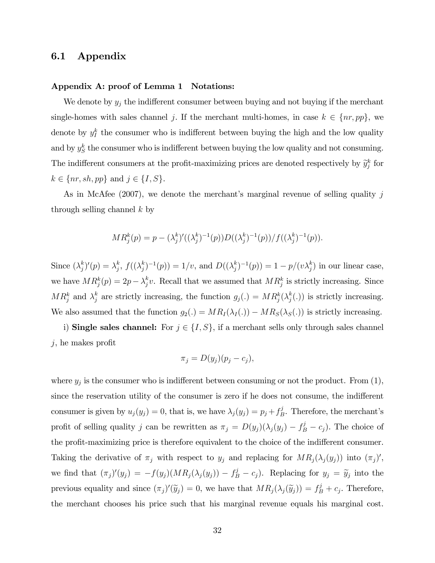### 6.1 Appendix

### Appendix A: proof of Lemma 1 Notations:

We denote by  $y_j$  the indifferent consumer between buying and not buying if the merchant single-homes with sales channel j. If the merchant multi-homes, in case  $k \in \{nr, pp\}$ , we denote by  $y_I^k$  the consumer who is indifferent between buying the high and the low quality and by  $y_S^k$  the consumer who is indifferent between buying the low quality and not consuming. The indifferent consumers at the profit-maximizing prices are denoted respectively by  $\widetilde{y}_{j}^{k}$  for  $k \in \{nr, sh, pp\}$  and  $j \in \{I, S\}.$ 

As in McAfee (2007), we denote the merchant's marginal revenue of selling quality  $j$ through selling channel  $k$  by

$$
MR_j^k(p) = p - (\lambda_j^k)'((\lambda_j^k)^{-1}(p))D((\lambda_j^k)^{-1}(p))/f((\lambda_j^k)^{-1}(p)).
$$

Since  $(\lambda_i^k)$  $j^{k})'(p) = \lambda_j^{k}$  $_j^k, \, f((\lambda_j^k$  $j_{j}^{k})^{-1}(p)$ ) = 1/v, and  $D((\lambda_{j}^{k}))$  $j_p^{(k)}(p) = 1 - p/(v\lambda_j^k)$  in our linear case, we have  $MR_j^k(p) = 2p - \lambda_j^k$  $j<sup>k</sup>$ . Recall that we assumed that  $MR<sup>k</sup>$  is strictly increasing. Since  $MR_j^k$  and  $\lambda_j^k$  are strictly increasing, the function  $g_j(.) = MR_j^k(\lambda_j^k)$  $j(t)$  is strictly increasing. We also assumed that the function  $g_2(.) = MR_I(\lambda_I(.)) - MR_S(\lambda_S(.))$  is strictly increasing.

i) Single sales channel: For  $j \in \{I, S\}$ , if a merchant sells only through sales channel  $j$ , he makes profit

$$
\pi_j = D(y_j)(p_j - c_j),
$$

where  $y_j$  is the consumer who is indifferent between consuming or not the product. From  $(1)$ , since the reservation utility of the consumer is zero if he does not consume, the indifferent consumer is given by  $u_j(y_j) = 0$ , that is, we have  $\lambda_j (y_j) = p_j + f_E^j$  $B^3$ . Therefore, the merchant's profit of selling quality j can be rewritten as  $\pi_j = D(y_j)(\lambda_j(y_j) - f_B^j - c_j)$ . The choice of the profit-maximizing price is therefore equivalent to the choice of the indifferent consumer. Taking the derivative of  $\pi_j$  with respect to  $y_j$  and replacing for  $MR_j(\lambda_j(y_j))$  into  $(\pi_j)'$ , we find that  $(\pi_j)'(y_j) = -f(y_j)(MR_j(\lambda_j(y_j)) - f_B^j - c_j)$ . Replacing for  $y_j = \tilde{y}_j$  into the previous equality and since  $(\pi_j)'(\tilde{y}_j) = 0$ , we have that  $MR_j(\lambda_j(\tilde{y}_j)) = f_B^j + c_j$ . Therefore, the merchant chooses his price such that his marginal revenue equals his marginal cost.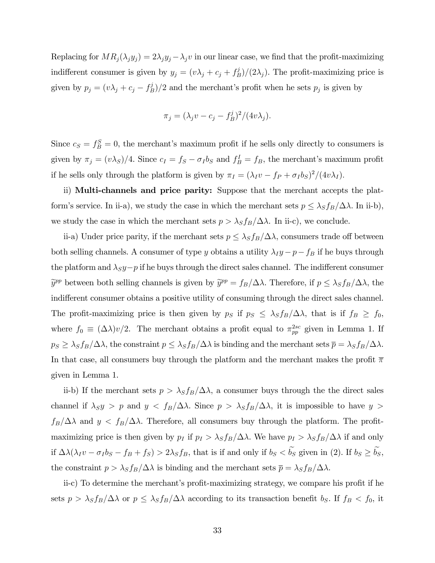Replacing for  $MR_j(\lambda_j y_j) = 2\lambda_j y_j - \lambda_j v$  in our linear case, we find that the profit-maximizing indifferent consumer is given by  $y_j = (v\lambda_j + c_j + f_E^j)$  $\binom{3}{B}/(2\lambda_j)$ . The profit-maximizing price is given by  $p_j = (v\lambda_j + c_j - f_E^j)$  $\binom{3}{B}/2$  and the merchant's profit when he sets  $p_j$  is given by

$$
\pi_j = (\lambda_j v - c_j - f_B^j)^2 / (4v\lambda_j).
$$

Since  $c_S = f_B^S = 0$ , the merchant's maximum profit if he sells only directly to consumers is given by  $\pi_j = (v\lambda_S)/4$ . Since  $c_I = f_S - \sigma_I b_S$  and  $f_B^I = f_B$ , the merchant's maximum profit if he sells only through the platform is given by  $\pi_I = (\lambda_I v - f_P + \sigma_I b_S)^2/(4v\lambda_I)$ .

ii) Multi-channels and price parity: Suppose that the merchant accepts the platform's service. In ii-a), we study the case in which the merchant sets  $p \leq \lambda_S f_B/\Delta\lambda$ . In ii-b), we study the case in which the merchant sets  $p > \lambda_S f_B/\Delta\lambda$ . In ii-c), we conclude.

ii-a) Under price parity, if the merchant sets  $p \leq \lambda_S f_B/\Delta\lambda$ , consumers trade off between both selling channels. A consumer of type y obtains a utility  $\lambda_I y - p - f_B$  if he buys through the platform and  $\lambda_S y - p$  if he buys through the direct sales channel. The indifferent consumer  $\tilde{y}^{pp}$  between both selling channels is given by  $\tilde{y}^{pp} = f_B/\Delta\lambda$ . Therefore, if  $p \leq \lambda_S f_B/\Delta\lambda$ , the indifferent consumer obtains a positive utility of consuming through the direct sales channel. The profit-maximizing price is then given by  $p_S$  if  $p_S \leq \lambda_S f_B/\Delta\lambda$ , that is if  $f_B \geq f_0$ , where  $f_0 \equiv (\Delta \lambda)v/2$ . The merchant obtains a profit equal to  $\pi_{pp}^{2sc}$  given in Lemma 1. If  $p_S \geq \lambda_S f_B/\Delta\lambda$ , the constraint  $p \leq \lambda_S f_B/\Delta\lambda$  is binding and the merchant sets  $\bar{p} = \lambda_S f_B/\Delta\lambda$ . In that case, all consumers buy through the platform and the merchant makes the profit  $\overline{\pi}$ given in Lemma 1.

ii-b) If the merchant sets  $p > \lambda_S f_B/\Delta\lambda$ , a consumer buys through the the direct sales channel if  $\lambda_S y > p$  and  $y < f_B/\Delta\lambda$ . Since  $p > \lambda_S f_B/\Delta\lambda$ , it is impossible to have  $y >$  $f_B/\Delta\lambda$  and  $y < f_B/\Delta\lambda$ . Therefore, all consumers buy through the platform. The profitmaximizing price is then given by  $p_I$  if  $p_I > \lambda_S f_B/\Delta\lambda$ . We have  $p_I > \lambda_S f_B/\Delta\lambda$  if and only if  $\Delta\lambda(\lambda_I v - \sigma_I b_S - f_B + f_S) > 2\lambda_S f_B$ , that is if and only if  $b_S < \tilde{b_S}$  given in (2). If  $b_S \geq \tilde{b_S}$ , the constraint  $p > \lambda_S f_B/\Delta\lambda$  is binding and the merchant sets  $\bar{p} = \lambda_S f_B/\Delta\lambda$ .

ii-c) To determine the merchant's profit-maximizing strategy, we compare his profit if he sets  $p > \lambda_S f_B/\Delta\lambda$  or  $p \leq \lambda_S f_B/\Delta\lambda$  according to its transaction benefit  $b_S$ . If  $f_B < f_0$ , it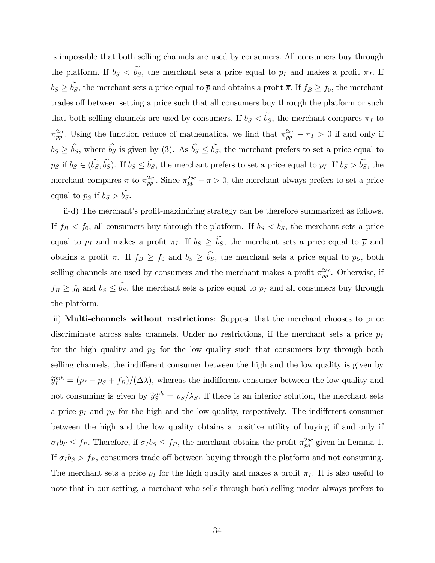is impossible that both selling channels are used by consumers. All consumers buy through the platform. If  $b_S < \tilde{b_S}$ , the merchant sets a price equal to  $p_I$  and makes a profit  $\pi_I$ . If  $b_S \geq \tilde{b_S}$ , the merchant sets a price equal to  $\bar{p}$  and obtains a profit  $\bar{\pi}$ . If  $f_B \geq f_0$ , the merchant trades off between setting a price such that all consumers buy through the platform or such that both selling channels are used by consumers. If  $b_S < \tilde{b_S}$ , the merchant compares  $\pi_I$  to  $\pi_{pp}^{2sc}$ . Using the function reduce of mathematica, we find that  $\pi_{pp}^{2sc} - \pi_I > 0$  if and only if  $b_S \geq \hat{b}_S$ , where  $\hat{b}_S$  is given by (3). As  $\hat{b}_S \leq \tilde{b}_S$ , the merchant prefers to set a price equal to  $p_S$  if  $b_S \in (\hat{b}_S, \tilde{b}_S)$ . If  $b_S \leq \hat{b}_S$ , the merchant prefers to set a price equal to  $p_I$ . If  $b_S > \tilde{b}_S$ , the merchant compares  $\bar{\pi}$  to  $\pi_{pp}^{2sc}$ . Since  $\pi_{pp}^{2sc} - \bar{\pi} > 0$ , the merchant always prefers to set a price equal to  $p_S$  if  $b_S > \widetilde{b_S}$ .

ii-d) The merchant's profit-maximizing strategy can be therefore summarized as follows. If  $f_B < f_0$ , all consumers buy through the platform. If  $b_S < \tilde{b_S}$ , the merchant sets a price equal to  $p_I$  and makes a profit  $\pi_I$ . If  $b_S \ge \tilde{b_S}$ , the merchant sets a price equal to  $\bar{p}$  and obtains a profit  $\overline{\pi}$ . If  $f_B \geq f_0$  and  $b_S \geq \widehat{b_S}$ , the merchant sets a price equal to  $p_S$ , both selling channels are used by consumers and the merchant makes a profit  $\pi_{pp}^{2sc}$ . Otherwise, if  $f_B \ge f_0$  and  $b_S \le \hat{b}_S$ , the merchant sets a price equal to  $p_I$  and all consumers buy through the platform.

iii) Multi-channels without restrictions: Suppose that the merchant chooses to price discriminate across sales channels. Under no restrictions, if the merchant sets a price  $p_I$ for the high quality and  $p<sub>S</sub>$  for the low quality such that consumers buy through both selling channels, the indifferent consumer between the high and the low quality is given by  $\tilde{y}_I^{mh} = (p_I - ps + f_B)/(\Delta \lambda)$ , whereas the indifferent consumer between the low quality and not consuming is given by  $\tilde{y}_{S}^{mh} = p_{S}/\lambda_{S}$ . If there is an interior solution, the merchant sets a price  $p_I$  and  $p_S$  for the high and the low quality, respectively. The indifferent consumer between the high and the low quality obtains a positive utility of buying if and only if  $\sigma_I b_S \le f_P$ . Therefore, if  $\sigma_I b_S \le f_P$ , the merchant obtains the profit  $\pi_{pd}^{2sc}$  given in Lemma 1. If  $\sigma_I b_S > f_P$ , consumers trade off between buying through the platform and not consuming. The merchant sets a price  $p_I$  for the high quality and makes a profit  $\pi_I$ . It is also useful to note that in our setting, a merchant who sells through both selling modes always prefers to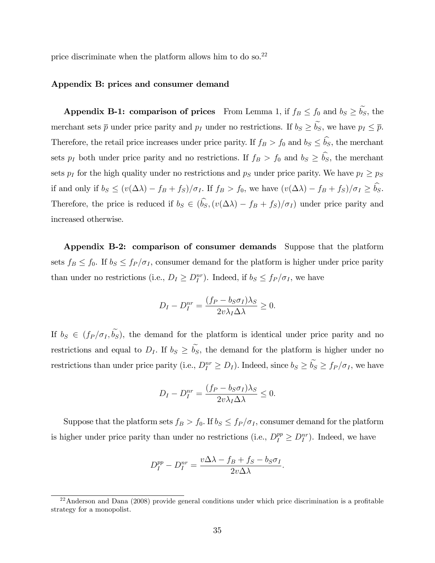price discriminate when the platform allows him to do so.<sup>22</sup>

### Appendix B: prices and consumer demand

Appendix B-1: comparison of prices From Lemma 1, if  $f_B \le f_0$  and  $b_S \ge \tilde{b_S}$ , the merchant sets  $\bar{p}$  under price parity and  $p_I$  under no restrictions. If  $b_S \geq \tilde{b_S}$ , we have  $p_I \leq \bar{p}$ . Therefore, the retail price increases under price parity. If  $f_B > f_0$  and  $b_S \le \hat{b}_S$ , the merchant sets  $p_I$  both under price parity and no restrictions. If  $f_B > f_0$  and  $b_S \ge \hat{b}_S$ , the merchant sets  $p_I$  for the high quality under no restrictions and  $p_S$  under price parity. We have  $p_I \geq p_S$ if and only if  $b_S \leq (v(\Delta \lambda) - f_B + f_S)/\sigma_I$ . If  $f_B > f_0$ , we have  $(v(\Delta \lambda) - f_B + f_S)/\sigma_I \geq \hat{b}_S$ . Therefore, the price is reduced if  $b_S \in (\hat{b}_S, (v(\Delta \lambda) - f_B + f_S)/\sigma_I)$  under price parity and increased otherwise.

Appendix B-2: comparison of consumer demands Suppose that the platform sets  $f_B \le f_0$ . If  $b_S \le f_P / \sigma_I$ , consumer demand for the platform is higher under price parity than under no restrictions (i.e.,  $D_I \geq D_I^{nr}$ ). Indeed, if  $b_S \leq f_P / \sigma_I$ , we have

$$
D_I - D_I^{nr} = \frac{(f_P - b_S \sigma_I) \lambda_S}{2v \lambda_I \Delta \lambda} \ge 0.
$$

If  $b_S \in (f_P/\sigma_I, \tilde{b_S})$ , the demand for the platform is identical under price parity and no restrictions and equal to  $D_I$ . If  $b_S \geq \tilde{b_S}$ , the demand for the platform is higher under no restrictions than under price parity (i.e.,  $D_I^{nr} \ge D_I$ ). Indeed, since  $b_S \ge \dot{b_S} \ge f_P / \sigma_I$ , we have

$$
D_I - D_I^{nr} = \frac{(f_P - b_S \sigma_I) \lambda_S}{2v \lambda_I \Delta \lambda} \le 0.
$$

Suppose that the platform sets  $f_B > f_0$ . If  $b_S \leq f_P / \sigma_I$ , consumer demand for the platform is higher under price parity than under no restrictions (i.e.,  $D_I^{pp} \geq D_I^{nr}$ ). Indeed, we have

$$
D_I^{pp} - D_I^{nr} = \frac{v\Delta\lambda - f_B + f_S - b_S\sigma_I}{2v\Delta\lambda}.
$$

 $^{22}$ Anderson and Dana (2008) provide general conditions under which price discrimination is a profitable strategy for a monopolist.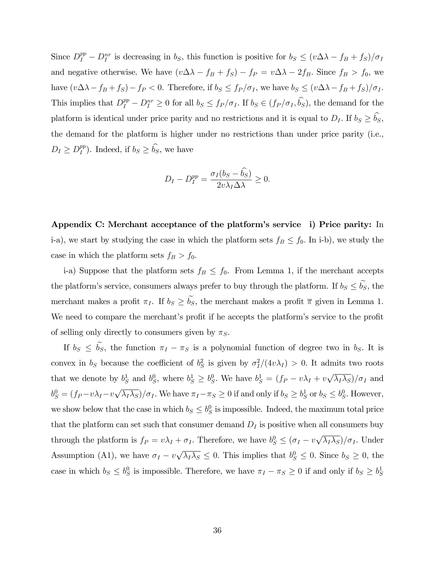Since  $D_I^{pp} - D_I^{nr}$  is decreasing in  $b_S$ , this function is positive for  $b_S \leq (v \Delta \lambda - f_B + f_S)/\sigma_I$ and negative otherwise. We have  $(v \Delta \lambda - f_B + f_S) - f_P = v \Delta \lambda - 2f_B$ . Since  $f_B > f_0$ , we have  $(v\Delta\lambda - f_B + f_S) - f_P < 0$ . Therefore, if  $b_S \leq f_P / \sigma_I$ , we have  $b_S \leq (v\Delta\lambda - f_B + f_S)/\sigma_I$ . This implies that  $D_I^{pp} - D_I^{nr} \ge 0$  for all  $b_S \le f_P / \sigma_I$ . If  $b_S \in (f_P / \sigma_I, \hat{b}_S)$ , the demand for the platform is identical under price parity and no restrictions and it is equal to  $D_I$ . If  $b_S \ge \hat{b_S}$ , the demand for the platform is higher under no restrictions than under price parity (i.e.,  $D_I \geq D_I^{pp}$  $_{I}^{pp}$ ). Indeed, if  $b_S \geq b_S$ , we have

$$
D_I - D_I^{pp} = \frac{\sigma_I (b_S - \hat{b_S})}{2v \lambda_I \Delta \lambda} \ge 0.
$$

Appendix C: Merchant acceptance of the platform's service i) Price parity: In i-a), we start by studying the case in which the platform sets  $f_B \le f_0$ . In i-b), we study the case in which the platform sets  $f_B > f_0$ .

i-a) Suppose that the platform sets  $f_B \leq f_0$ . From Lemma 1, if the merchant accepts the platform's service, consumers always prefer to buy through the platform. If  $b_S \leq b_S$ , the merchant makes a profit  $\pi_I$ . If  $b_S \geq \tilde{b_S}$ , the merchant makes a profit  $\bar{\pi}$  given in Lemma 1. We need to compare the merchant's profit if he accepts the platform's service to the profit of selling only directly to consumers given by  $\pi_S$ .

If  $b_S \le \tilde{b_S}$ , the function  $\pi_I - \pi_S$  is a polynomial function of degree two in  $b_S$ . It is convex in  $b_S$  because the coefficient of  $b_S^2$  is given by  $\sigma_I^2/(4v\lambda_I) > 0$ . It admits two roots that we denote by  $b_S^1$  and  $b_S^0$ , where  $b_S^1 \ge b_S^0$ . We have  $b_S^1 = (f_P - v\lambda_I + v\sqrt{\lambda_I\lambda_S})/\sigma_I$  and  $b_S^0 = (f_P - v\lambda_I - v\sqrt{\lambda_I\lambda_S})/\sigma_I$ . We have  $\pi_I - \pi_S \ge 0$  if and only if  $b_S \ge b_S^1$  or  $b_S \le b_S^0$ . However, we show below that the case in which  $b_S \leq b_S^0$  is impossible. Indeed, the maximum total price that the platform can set such that consumer demand  $D_I$  is positive when all consumers buy through the platform is  $f_P = v\lambda_I + \sigma_I$ . Therefore, we have  $b_S^0 \leq (\sigma_I - v\sqrt{\lambda_I \lambda_S})/\sigma_I$ . Under Assumption (A1), we have  $\sigma_I - v \sqrt{\lambda_I \lambda_S} \leq 0$ . This implies that  $b_S^0 \leq 0$ . Since  $b_S \geq 0$ , the case in which  $b_S \leq b_S^0$  is impossible. Therefore, we have  $\pi_I - \pi_S \geq 0$  if and only if  $b_S \geq b_S^1$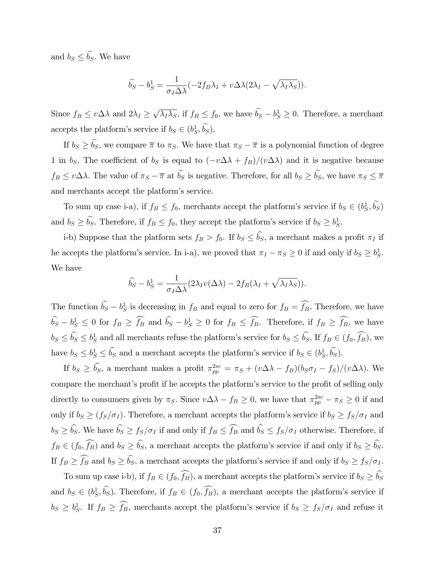and  $b_S \leq \widetilde{b_S}$ . We have

$$
\widetilde{b_S} - b_S^1 = \frac{1}{\sigma_I \Delta \lambda} (-2f_B \lambda_I + v \Delta \lambda (2\lambda_I - \sqrt{\lambda_I \lambda_S})).
$$

Since  $f_B \le v\Delta\lambda$  and  $2\lambda_I \ge \sqrt{\lambda_I\lambda_S}$ , if  $f_B \le f_0$ , we have  $\widetilde{b_S} - b_S^1 \ge 0$ . Therefore, a merchant accepts the platform's service if  $b_S \in (b_S^1, b_S)$ .

If  $b_S \ge \tilde{b_S}$ , we compare  $\bar{\pi}$  to  $\pi_S$ . We have that  $\pi_S - \bar{\pi}$  is a polynomial function of degree 1 in bs. The coefficient of bs is equal to  $(-v\Delta\lambda + f_B)/(v\Delta\lambda)$  and it is negative because  $f_B \le v\Delta\lambda$ . The value of  $\pi_S - \overline{\pi}$  at  $\widetilde{b_S}$  is negative. Therefore, for all  $b_S \ge \widetilde{b_S}$ , we have  $\pi_S \le \overline{\pi}$ and merchants accept the platform's service.

To sum up case i-a), if  $f_B \le f_0$ , merchants accept the platform's service if  $b_S \in (b_S^1, b_S)$ and  $b_S \ge b_S$ . Therefore, if  $f_B \le f_0$ , they accept the platform's service if  $b_S \ge b_S^1$ .

i-b) Suppose that the platform sets  $f_B > f_0$ . If  $b_S \leq \hat{b}_S$ , a merchant makes a profit  $\pi_I$  if he accepts the platform's service. In i-a), we proved that  $\pi_I - \pi_S \ge 0$  if and only if  $b_S \ge b_S^1$ . We have

$$
\widehat{b_S} - b_S^1 = \frac{1}{\sigma_I \Delta \lambda} (2\lambda_I v(\Delta \lambda) - 2f_B(\lambda_I + \sqrt{\lambda_I \lambda_S})).
$$

The function  $\hat{b}_S - b_S^1$  is decreasing in  $f_B$  and equal to zero for  $f_B = f_B$ . Therefore, we have  $\hat{b}_S - b_S^1 \leq 0$  for  $f_B \geq \hat{f}_B$  and  $\hat{b}_S - b_S^1 \geq 0$  for  $f_B \leq \hat{f}_B$ . Therefore, if  $f_B \geq \hat{f}_B$ , we have  $b_S \le b_S \le b_S^1$  and all merchants refuse the platform's service for  $b_S \le b_S$ . If  $f_B \in (f_0, f_B)$ , we have  $b_S \leq b_S^1 \leq b_S$  and a merchant accepts the platform's service if  $b_S \in (b_S^1, b_S^2)$ .

If  $b_S \ge \hat{b_S}$ , a merchant makes a profit  $\pi_{pp}^{2sc} = \pi_S + (v\Delta\lambda - f_B)(b_S\sigma_I - f_S)/(v\Delta\lambda)$ . We compare the merchant's profit if he accepts the platform's service to the profit of selling only directly to consumers given by  $\pi_S$ . Since  $v\Delta\lambda - f_B \ge 0$ , we have that  $\pi_{pp}^{2sc} - \pi_S \ge 0$  if and only if  $b_S \ge (f_S/\sigma_I)$ . Therefore, a merchant accepts the platform's service if  $b_S \ge f_S/\sigma_I$  and  $b_S \geq \widehat{b_S}$ . We have  $\widehat{b_S} \geq f_S/\sigma_I$  if and only if  $f_B \leq \widehat{f_B}$  and  $\widehat{b_S} \leq f_S/\sigma_I$  otherwise. Therefore, if  $f_B \in (f_0, \widehat{f_B})$  and  $b_S \geq \widehat{b_S}$ , a merchant accepts the platform's service if and only if  $b_S \geq \widehat{b_S}$ . If  $f_B \ge \widehat{f_B}$  and  $b_S \ge \widehat{b_S}$ , a merchant accepts the platform's service if and only if  $b_S \ge f_S/\sigma_I$ .

To sum up case i-b), if  $f_B \in (f_0, \widehat{f_B})$ , a merchant accepts the platform's service if  $b_S \ge \widehat{b_S}$ and  $b_S \in (b_S^1, \hat{b_S})$ . Therefore, if  $f_B \in (f_0, \hat{f}_B)$ , a merchant accepts the platform's service if  $b_S \geq b_S^1$ . If  $f_B \geq f_B$ , merchants accept the platform's service if  $b_S \geq f_S/\sigma_I$  and refuse it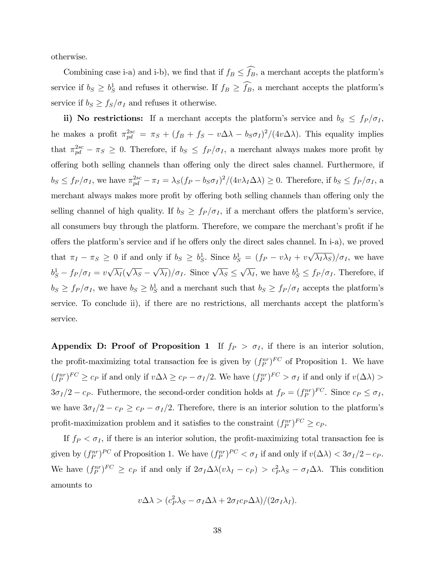otherwise.

Combining case i-a) and i-b), we find that if  $f_B \leq \widehat{f_B}$ , a merchant accepts the platform's service if  $b_S \geq b_S^1$  and refuses it otherwise. If  $f_B \geq f_B$ , a merchant accepts the platform's service if  $b_S \geq f_S/\sigma_I$  and refuses it otherwise.

ii) No restrictions: If a merchant accepts the platform's service and  $b_S \leq f_P / \sigma_I$ , he makes a profit  $\pi_{pd}^{2sc} = \pi_S + (f_B + f_S - v\Delta\lambda - b_S\sigma_I)^2/(4v\Delta\lambda)$ . This equality implies that  $\pi_{pd}^{2sc} - \pi_S \geq 0$ . Therefore, if  $b_S \leq f_P / \sigma_I$ , a merchant always makes more profit by offering both selling channels than offering only the direct sales channel. Furthermore, if  $b_S \le f_P/\sigma_I$ , we have  $\pi_{pd}^{2sc} - \pi_I = \lambda_S (f_P - b_S \sigma_I)^2 / (4v \lambda_I \Delta \lambda) \ge 0$ . Therefore, if  $b_S \le f_P/\sigma_I$ , a merchant always makes more profit by offering both selling channels than offering only the selling channel of high quality. If  $b_S \geq f_P / \sigma_I$ , if a merchant offers the platform's service, all consumers buy through the platform. Therefore, we compare the merchant's profit if he offers the platform's service and if he offers only the direct sales channel. In i-a), we proved that  $\pi_I - \pi_S \ge 0$  if and only if  $b_S \ge b_S^1$ . Since  $b_S^1 = (f_P - v\lambda_I + v\sqrt{\lambda_I\lambda_S})/\sigma_I$ , we have  $b_S^1 - f_P/\sigma_I = v\sqrt{\lambda_I}(\sqrt{\lambda_S} - \sqrt{\lambda_I})/\sigma_I$ . Since  $\sqrt{\lambda_S} \leq \sqrt{\lambda_I}$ , we have  $b_S^1 \leq f_P/\sigma_I$ . Therefore, if  $b_S \ge f_P / \sigma_I$ , we have  $b_S \ge b_S^1$  and a merchant such that  $b_S \ge f_P / \sigma_I$  accepts the platform's service. To conclude ii), if there are no restrictions, all merchants accept the platformís service.

Appendix D: Proof of Proposition 1 If  $f_P > \sigma_I$ , if there is an interior solution, the profit-maximizing total transaction fee is given by  $(f_P^{nr})^{FC}$  of Proposition 1. We have  $(f_P^{nr})^{FC} \ge c_P$  if and only if  $v \Delta \lambda \ge c_P - \sigma_I/2$ . We have  $(f_P^{nr})^{FC} > \sigma_I$  if and only if  $v(\Delta \lambda) >$  $3\sigma_I/2 - c_P$ . Futhermore, the second-order condition holds at  $f_P = (f_P^{nr})^{FC}$ . Since  $c_P \le \sigma_I$ , we have  $3\sigma_I/2 - c_P \geq c_P - \sigma_I/2$ . Therefore, there is an interior solution to the platform's profit-maximization problem and it satisfies to the constraint  $(f_P^{nr})^{FC} \ge c_P$ .

If  $f_P < \sigma_I$ , if there is an interior solution, the profit-maximizing total transaction fee is given by  $(f_P^{nr})^{PC}$  of Proposition 1. We have  $(f_P^{nr})^{PC} < \sigma_I$  if and only if  $v(\Delta \lambda) < 3\sigma_I/2 - c_P$ . We have  $(f_P^{nr})^{FC} \geq c_P$  if and only if  $2\sigma_I\Delta\lambda(v\lambda_I - c_P) > c_P^2\lambda_S - \sigma_I\Delta\lambda$ . This condition amounts to

$$
v\Delta\lambda > (c_P^2 \lambda_S - \sigma_I \Delta\lambda + 2\sigma_I c_P \Delta\lambda)/(2\sigma_I \lambda_I).
$$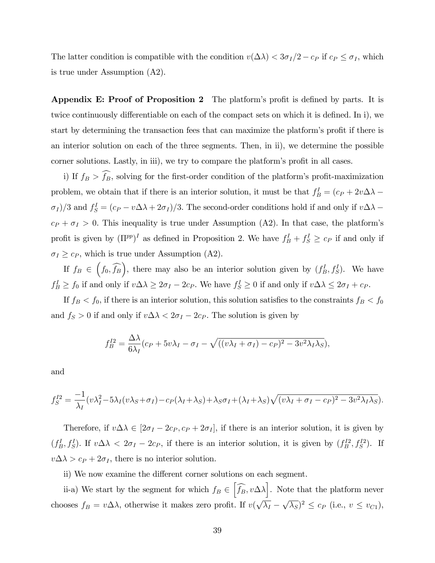The latter condition is compatible with the condition  $v(\Delta\lambda) < 3\sigma_I/2 - c_P$  if  $c_P \leq \sigma_I$ , which is true under Assumption (A2).

Appendix E: Proof of Proposition 2 The platform's profit is defined by parts. It is twice continuously differentiable on each of the compact sets on which it is defined. In i), we start by determining the transaction fees that can maximize the platform's profit if there is an interior solution on each of the three segments. Then, in ii), we determine the possible corner solutions. Lastly, in iii), we try to compare the platform's profit in all cases.

i) If  $f_B > \widehat{f}_B$ , solving for the first-order condition of the platform's profit-maximization problem, we obtain that if there is an interior solution, it must be that  $f_B^I = (c_P + 2v\Delta\lambda \sigma_I$ )/3 and  $f_S^I = (c_P - v \Delta \lambda + 2\sigma_I)/3$ . The second-order conditions hold if and only if  $v \Delta \lambda$  –  $c_P + \sigma_I > 0$ . This inequality is true under Assumption (A2). In that case, the platform's profit is given by  $(\Pi^{pp})^I$  as defined in Proposition 2. We have  $f_B^I + f_S^I \geq c_P$  if and only if  $\sigma_I \geq c_P$ , which is true under Assumption (A2).

If  $f_B \in (f_0, \widehat{f_B})$ , there may also be an interior solution given by  $(f_B^I, f_S^I)$ . We have  $f_B^I \ge f_0$  if and only if  $v \Delta \lambda \ge 2\sigma_I - 2c_P$ . We have  $f_S^I \ge 0$  if and only if  $v \Delta \lambda \le 2\sigma_I + c_P$ .

If  $f_B < f_0$ , if there is an interior solution, this solution satisfies to the constraints  $f_B < f_0$ and  $f_S > 0$  if and only if  $v \Delta \lambda < 2\sigma_I - 2c_P$ . The solution is given by

$$
f_B^{I2} = \frac{\Delta\lambda}{6\lambda_I}(c_P + 5v\lambda_I - \sigma_I - \sqrt{((v\lambda_I + \sigma_I) - c_P)^2 - 3v^2\lambda_I\lambda_S}),
$$

and

$$
f_S^{I2} = \frac{-1}{\lambda_I} (v\lambda_I^2 - 5\lambda_I (v\lambda_S + \sigma_I) - c_P(\lambda_I + \lambda_S) + \lambda_S \sigma_I + (\lambda_I + \lambda_S) \sqrt{(v\lambda_I + \sigma_I - c_P)^2 - 3v^2 \lambda_I \lambda_S}).
$$

Therefore, if  $v\Delta\lambda \in [2\sigma_I - 2c_P, c_P + 2\sigma_I]$ , if there is an interior solution, it is given by  $(f_B^I, f_S^I)$ . If  $v\Delta\lambda < 2\sigma_I - 2c_P$ , if there is an interior solution, it is given by  $(f_B^{I2}, f_S^{I2})$ . If  $v\Delta\lambda > c_P + 2\sigma_I$ , there is no interior solution.

ii) We now examine the different corner solutions on each segment.

ii-a) We start by the segment for which  $f_B \in \left[\widehat{f_B}, v \Delta \lambda\right]$ . Note that the platform never chooses  $f_B = v \Delta \lambda$ , otherwise it makes zero profit. If  $v(\sqrt{\lambda_I} - \sqrt{\lambda_S})^2 \le c_P$  (i.e.,  $v \le v_{C_1}$ ),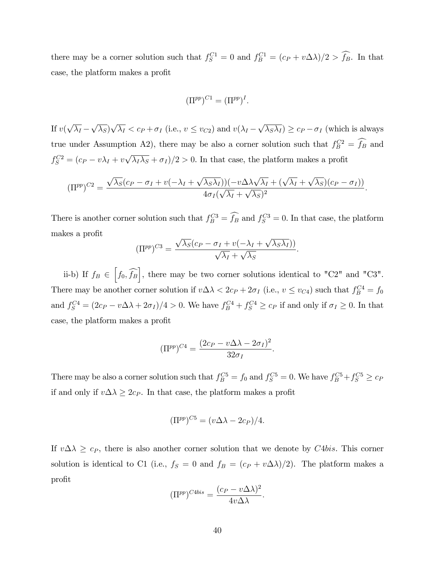there may be a corner solution such that  $f_S^{C1} = 0$  and  $f_B^{C1} = (c_P + v\Delta\lambda)/2 > f_B$ . In that case, the platform makes a profit

$$
(\Pi^{pp})^{C1} = (\Pi^{pp})^I.
$$

If  $v(\sqrt{\lambda_I} - \sqrt{\lambda_S})\sqrt{\lambda_I} < c_P + \sigma_I$  (i.e.,  $v \le v_{C2}$ ) and  $v(\lambda_I - \sqrt{\lambda_S \lambda_I}) \ge c_P - \sigma_I$  (which is always true under Assumption A2), there may be also a corner solution such that  $f_B^{C2} = f_B$  and  $f_S^{C2} = (c_P - v\lambda_I + v\sqrt{\lambda_I\lambda_S} + \sigma_I)/2 > 0$ . In that case, the platform makes a profit

$$
(\Pi^{pp})^{C2} = \frac{\sqrt{\lambda_S}(c_P - \sigma_I + v(-\lambda_I + \sqrt{\lambda_S \lambda_I}))(-v\Delta\lambda\sqrt{\lambda_I} + (\sqrt{\lambda_I} + \sqrt{\lambda_S})(c_P - \sigma_I))}{4\sigma_I(\sqrt{\lambda_I} + \sqrt{\lambda_S})^2}.
$$

There is another corner solution such that  $f_B^{C3} = f_B$  and  $f_S^{C3} = 0$ . In that case, the platform makes a profit

$$
(\Pi^{pp})^{C3} = \frac{\sqrt{\lambda_S}(c_P - \sigma_I + v(-\lambda_I + \sqrt{\lambda_S \lambda_I}))}{\sqrt{\lambda_I} + \sqrt{\lambda_S}}.
$$

ii-b) If  $f_B \in \left[ f_0, \widehat{f_B} \right]$ , there may be two corner solutions identical to "C2" and "C3". There may be another corner solution if  $v\Delta\lambda < 2c_P + 2\sigma_I$  (i.e.,  $v \le v_{C4}$ ) such that  $f_B^{C4} = f_0$ and  $f_S^{C4} = (2c_P - v\Delta\lambda + 2\sigma_I)/4 > 0$ . We have  $f_B^{C4} + f_S^{C4} \ge c_P$  if and only if  $\sigma_I \ge 0$ . In that case, the platform makes a profit

$$
(\Pi^{pp})^{C4} = \frac{(2c_P - v\Delta\lambda - 2\sigma_I)^2}{32\sigma_I}.
$$

There may be also a corner solution such that  $f_B^{C5} = f_0$  and  $f_S^{C5} = 0$ . We have  $f_B^{C5} + f_S^{C5} \ge c_F$ if and only if  $v \Delta \lambda \geq 2c_P$ . In that case, the platform makes a profit

$$
(\Pi^{pp})^{C5} = (v\Delta\lambda - 2c_P)/4.
$$

If  $v \Delta \lambda \geq c_P$ , there is also another corner solution that we denote by C4bis. This corner solution is identical to C1 (i.e.,  $f_S = 0$  and  $f_B = (c_P + v\Delta\lambda)/2$ ). The platform makes a profit

$$
(\Pi^{pp})^{C4bis} = \frac{(c_P - v\Delta\lambda)^2}{4v\Delta\lambda}.
$$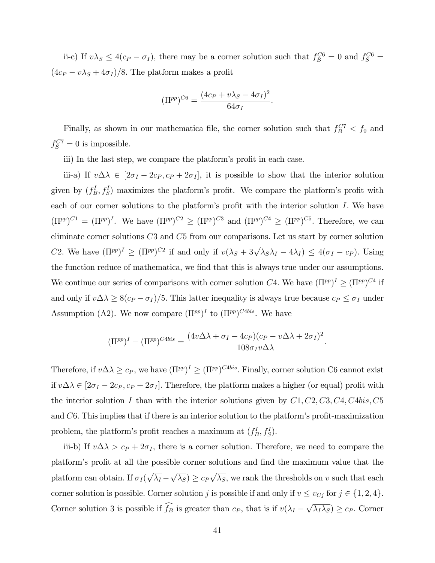ii-c) If  $v\lambda_S \leq 4(c_P - \sigma_I)$ , there may be a corner solution such that  $f_B^{C6} = 0$  and  $f_S^{C6} =$  $(4c_P - v\lambda_S + 4\sigma_I)/8.$  The platform makes a profit

$$
(\Pi^{pp})^{C6} = \frac{(4c_P + v\lambda_S - 4\sigma_I)^2}{64\sigma_I}.
$$

Finally, as shown in our mathematica file, the corner solution such that  $f_B^{C7} < f_0$  and  $f_S^{C7} = 0$  is impossible.

iii) In the last step, we compare the platform's profit in each case.

iii-a) If  $v \Delta \lambda \in [2\sigma_I - 2c_P, c_P + 2\sigma_I]$ , it is possible to show that the interior solution given by  $(f_B^I, f_S^I)$  maximizes the platform's profit. We compare the platform's profit with each of our corner solutions to the platform's profit with the interior solution  $I$ . We have  $(\Pi^{pp})^{C1} = (\Pi^{pp})^{I}$ . We have  $(\Pi^{pp})^{C2} \geq (\Pi^{pp})^{C3}$  and  $(\Pi^{pp})^{C4} \geq (\Pi^{pp})^{C5}$ . Therefore, we can eliminate corner solutions C3 and C5 from our comparisons. Let us start by corner solution C2. We have  $(\Pi^{pp})^I \geq (\Pi^{pp})^{C2}$  if and only if  $v(\lambda_S + 3\sqrt{\lambda_S \lambda_I} - 4\lambda_I) \leq 4(\sigma_I - c_P)$ . Using the function reduce of mathematica, we find that this is always true under our assumptions. We continue our series of comparisons with corner solution  $C4$ . We have  $(\Pi^{pp})^I \geq (\Pi^{pp})^{C4}$  if and only if  $v \Delta \lambda \ge 8(c_P - \sigma_I)/5$ . This latter inequality is always true because  $c_P \le \sigma_I$  under Assumption (A2). We now compare  $(\Pi^{pp})^I$  to  $(\Pi^{pp})^{C4bis}$ . We have

$$
(\Pi^{pp})^I - (\Pi^{pp})^{C4bis} = \frac{(4v\Delta\lambda + \sigma_I - 4c_P)(c_P - v\Delta\lambda + 2\sigma_I)^2}{108\sigma_I v\Delta\lambda}.
$$

Therefore, if  $v\Delta\lambda \geq c_P$ , we have  $(\Pi^{pp})^I \geq (\Pi^{pp})^{C4bis}$ . Finally, corner solution C6 cannot exist if  $v \Delta \lambda \in [2\sigma_I - 2c_P, c_P + 2\sigma_I]$ . Therefore, the platform makes a higher (or equal) profit with the interior solution I than with the interior solutions given by  $C_1$ ,  $C_2$ ,  $C_3$ ,  $C_4$ ,  $C_4$ ,  $C_5$ and  $C6$ . This implies that if there is an interior solution to the platform's profit-maximization problem, the platform's profit reaches a maximum at  $(f_B^I, f_S^I)$ .

iii-b) If  $v \Delta \lambda > c_P + 2\sigma_I$ , there is a corner solution. Therefore, we need to compare the platform's profit at all the possible corner solutions and find the maximum value that the platform can obtain. If  $\sigma_I(\sqrt{\lambda_I} - \sqrt{\lambda_S}) \geq c_P \sqrt{\lambda_S}$ , we rank the thresholds on v such that each corner solution is possible. Corner solution j is possible if and only if  $v \le v_{Cj}$  for  $j \in \{1, 2, 4\}.$ Corner solution 3 is possible if  $\widehat{f_B}$  is greater than  $c_P$ , that is if  $v(\lambda_I - \sqrt{\lambda_I \lambda_S}) \geq c_P$ . Corner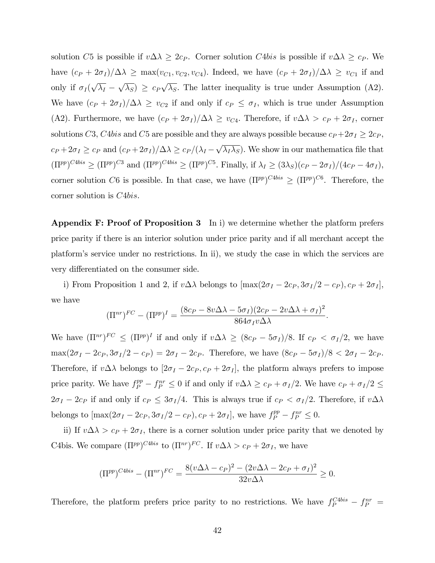solution C5 is possible if  $v \Delta \lambda \geq 2c_P$ . Corner solution C4bis is possible if  $v \Delta \lambda \geq c_P$ . We have  $(c_P + 2\sigma_I)/\Delta\lambda \ge \max(v_{C1}, v_{C2}, v_{C4})$ . Indeed, we have  $(c_P + 2\sigma_I)/\Delta\lambda \ge v_{C1}$  if and only if  $\sigma_I(\sqrt{\lambda_I} - \sqrt{\lambda_S}) \geq c_P \sqrt{\lambda_S}$ . The latter inequality is true under Assumption (A2). We have  $(c_P + 2\sigma_I)/\Delta\lambda \geq v_{C2}$  if and only if  $c_P \leq \sigma_I$ , which is true under Assumption (A2). Furthermore, we have  $(c_P + 2\sigma_I)/\Delta\lambda \geq v_{C4}$ . Therefore, if  $v\Delta\lambda > c_P + 2\sigma_I$ , corner solutions C3, C4bis and C5 are possible and they are always possible because  $c_P + 2\sigma_I \geq 2c_P$ ,  $c_P + 2\sigma_I \geq c_P$  and  $(c_P + 2\sigma_I)/\Delta\lambda \geq c_P/(\lambda_I - \sqrt{\lambda_I \lambda_S})$ . We show in our mathematica file that  $(\Pi^{pp})^{C4bis} \geq (\Pi^{pp})^{C3}$  and  $(\Pi^{pp})^{C4bis} \geq (\Pi^{pp})^{C5}$ . Finally, if  $\lambda_I \geq (3\lambda_S)(c_P - 2\sigma_I)/(4c_P - 4\sigma_I)$ , corner solution C6 is possible. In that case, we have  $(\Pi^{pp})^{C4bis} \geq (\Pi^{pp})^{C6}$ . Therefore, the corner solution is C4bis.

**Appendix F: Proof of Proposition 3** In i) we determine whether the platform prefers price parity if there is an interior solution under price parity and if all merchant accept the platformís service under no restrictions. In ii), we study the case in which the services are very differentiated on the consumer side.

i) From Proposition 1 and 2, if  $v\Delta\lambda$  belongs to  $[\max(2\sigma_I - 2c_P, 3\sigma_I/2 - c_P), c_P + 2\sigma_I]$ , we have

$$
(\Pi^{nr})^{FC} - (\Pi^{pp})^I = \frac{(8c_P - 8v\Delta\lambda - 5\sigma_I)(2c_P - 2v\Delta\lambda + \sigma_I)^2}{864\sigma_I v\Delta\lambda}.
$$

We have  $(\Pi^{nr})^{FC} \leq (\Pi^{pp})^I$  if and only if  $v \Delta \lambda \geq (8c_P - 5\sigma_I)/8$ . If  $c_P < \sigma_I/2$ , we have  $\max(2\sigma_I - 2c_P, 3\sigma_I/2 - c_P) = 2\sigma_I - 2c_P$ . Therefore, we have  $(8c_P - 5\sigma_I)/8 < 2\sigma_I - 2c_P$ . Therefore, if  $v\Delta\lambda$  belongs to  $[2\sigma_I - 2c_P, c_P + 2\sigma_I]$ , the platform always prefers to impose price parity. We have  $f_P^{pp} - f_P^{nr} \leq 0$  if and only if  $v \Delta \lambda \geq c_P + \sigma_I/2$ . We have  $c_P + \sigma_I/2 \leq$  $2\sigma_I - 2c_P$  if and only if  $c_P \leq 3\sigma_I/4$ . This is always true if  $c_P < \sigma_I/2$ . Therefore, if  $v\Delta\lambda$ belongs to  $[\max(2\sigma_I - 2c_P, 3\sigma_I/2 - c_P), c_P + 2\sigma_I]$ , we have  $f_P^{pp} - f_P^{nr} \leq 0$ .

ii) If  $v \Delta \lambda > c_P + 2\sigma_I$ , there is a corner solution under price parity that we denoted by C4bis. We compare  $(\Pi^{pp})^{C4bis}$  to  $(\Pi^{nr})^{FC}$ . If  $v\Delta\lambda > c_P + 2\sigma_I$ , we have

$$
(\Pi^{pp})^{C4bis} - (\Pi^{nr})^{FC} = \frac{8(v\Delta\lambda - c_P)^2 - (2v\Delta\lambda - 2c_P + \sigma_I)^2}{32v\Delta\lambda} \ge 0.
$$

Therefore, the platform prefers price parity to no restrictions. We have  $f_P^{C4bis} - f_P^{nr} =$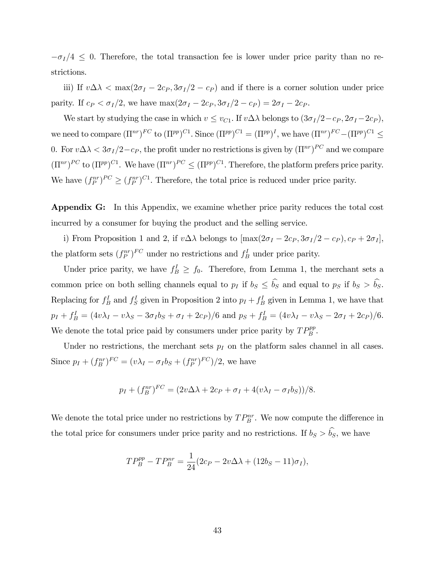$-\sigma_I/4 \leq 0$ . Therefore, the total transaction fee is lower under price parity than no restrictions.

iii) If  $v\Delta\lambda < \max(2\sigma_I - 2c_P, 3\sigma_I/2 - c_P)$  and if there is a corner solution under price parity. If  $c_P < \sigma_I/2$ , we have  $\max(2\sigma_I - 2c_P, 3\sigma_I/2 - c_P) = 2\sigma_I - 2c_P$ .

We start by studying the case in which  $v \le v_{C1}$ . If  $v \Delta \lambda$  belongs to  $(3\sigma_I/2 - c_P, 2\sigma_I - 2c_P)$ , we need to compare  $(\Pi^{nr})^{FC}$  to  $(\Pi^{pp})^{C1}$ . Since  $(\Pi^{pp})^{C1} = (\Pi^{pp})^{I}$ , we have  $(\Pi^{nr})^{FC} - (\Pi^{pp})^{C1} \leq$ 0. For  $v\Delta\lambda < 3\sigma_I/2 - c_P$ , the profit under no restrictions is given by  $(\Pi^{nr})^{PC}$  and we compare  $(\Pi^{nr})^{PC}$  to  $(\Pi^{pp})^{C1}$ . We have  $(\Pi^{nr})^{PC} \leq (\Pi^{pp})^{C1}$ . Therefore, the platform prefers price parity. We have  $(f_P^{nr})^{PC} \geq (f_P^{nr})^{C_1}$ . Therefore, the total price is reduced under price parity.

Appendix G: In this Appendix, we examine whether price parity reduces the total cost incurred by a consumer for buying the product and the selling service.

i) From Proposition 1 and 2, if  $v\Delta\lambda$  belongs to  $[\max(2\sigma_I-2c_P, 3\sigma_I/2-c_P), c_P + 2\sigma_I],$ the platform sets  $(f_P^{nr})^{FC}$  under no restrictions and  $f_B^I$  under price parity.

Under price parity, we have  $f_B^I \ge f_0$ . Therefore, from Lemma 1, the merchant sets a common price on both selling channels equal to  $p_I$  if  $b_S \le \hat{b_S}$  and equal to  $p_S$  if  $b_S > \hat{b_S}$ . Replacing for  $f_B^I$  and  $f_S^I$  given in Proposition 2 into  $p_I + f_B^I$  given in Lemma 1, we have that  $p_I + f_B^I = (4v\lambda_I - v\lambda_S - 3\sigma_I b_S + \sigma_I + 2c_P)/6$  and  $p_S + f_B^I = (4v\lambda_I - v\lambda_S - 2\sigma_I + 2c_P)/6$ . We denote the total price paid by consumers under price parity by  $TP_B^{pp}$ .

Under no restrictions, the merchant sets  $p_I$  on the platform sales channel in all cases. Since  $p_I + (f_B^{nr})^{FC} = (v\lambda_I - \sigma_I b_S + (f_P^{nr})^{FC})/2$ , we have

$$
p_I + (f_B^{nr})^{FC} = (2v\Delta\lambda + 2c_P + \sigma_I + 4(v\lambda_I - \sigma_I b_S))/8.
$$

We denote the total price under no restrictions by  $TP_B^{nr}$ . We now compute the difference in the total price for consumers under price parity and no restrictions. If  $b_S > \hat{b}_S$ , we have

$$
TP_B^{pp} - TP_B^{nr} = \frac{1}{24}(2c_P - 2v\Delta\lambda + (12b_S - 11)\sigma_I),
$$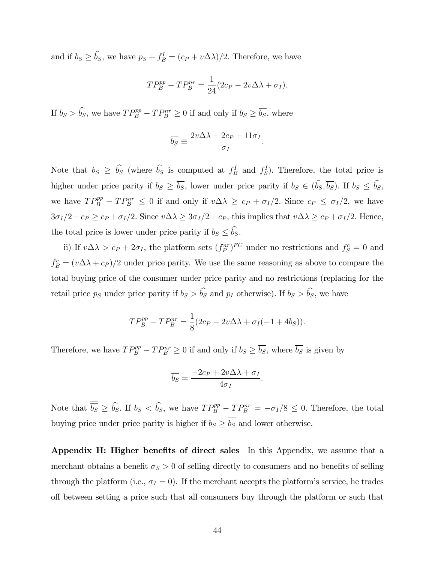and if  $b_S \ge \tilde{b}_S$ , we have  $p_S + f_B^I = (c_P + v \Delta \lambda)/2$ . Therefore, we have

$$
TP_B^{pp} - TP_B^{nr} = \frac{1}{24}(2c_P - 2v\Delta\lambda + \sigma_I).
$$

If  $b_S > \hat{b_S}$ , we have  $TP_B^{pp} - TP_B^{nr} \geq 0$  if and only if  $b_S \geq \overline{b_S}$ , where

$$
\overline{b_S} \equiv \frac{2v\Delta\lambda - 2c_P + 11\sigma_I}{\sigma_I}.
$$

Note that  $\overline{b_S} \geq \overline{b_S}$  (where  $\overline{b_S}$  is computed at  $f_B^I$  and  $f_S^I$ ). Therefore, the total price is higher under price parity if  $b_S \ge \overline{b_S}$ , lower under price parity if  $b_S \in (\widehat{b_S}, \overline{b_S})$ . If  $b_S \le \widehat{b_S}$ , we have  $TP^{pp}_B - TP^{nr}_B \leq 0$  if and only if  $v \Delta \lambda \geq c_P + \sigma_I/2$ . Since  $c_P \leq \sigma_I/2$ , we have  $3\sigma_I/2-c_P \geq c_P + \sigma_I/2$ . Since  $v \Delta \lambda \geq 3\sigma_I/2-c_P$ , this implies that  $v \Delta \lambda \geq c_P + \sigma_I/2$ . Hence, the total price is lower under price parity if  $b_S \le \widehat{b_S}$ .

ii) If  $v\Delta\lambda > c_P + 2\sigma_I$ , the platform sets  $(f_P^{nr})^{FC}$  under no restrictions and  $f_S^c = 0$  and  $f_B^c = (v \Delta \lambda + c_P)/2$  under price parity. We use the same reasoning as above to compare the total buying price of the consumer under price parity and no restrictions (replacing for the retail price ps under price parity if  $b_S > \hat{b_S}$  and  $p_I$  otherwise). If  $b_S > \hat{b_S}$ , we have

$$
TP_B^{pp} - TP_B^{nr} = \frac{1}{8}(2c_P - 2v\Delta\lambda + \sigma_I(-1 + 4b_S)).
$$

Therefore, we have  $TP_B^{pp} - TP_B^{nr} \ge 0$  if and only if  $b_S \ge \overline{b_S}$ , where  $\overline{b_S}$  is given by

$$
\overline{\overline{b_S}} = \frac{-2c_P + 2v\Delta\lambda + \sigma_I}{4\sigma_I}.
$$

Note that  $\overline{b_S} \ge \widehat{b_S}$ . If  $b_S < \widehat{b_S}$ , we have  $TP_B^{pp} - TP_B^{nr} = -\sigma_I/8 \le 0$ . Therefore, the total buying price under price parity is higher if  $b_S \ge \overline{b_S}$  and lower otherwise.

Appendix H: Higher benefits of direct sales In this Appendix, we assume that a merchant obtains a benefit  $\sigma_S > 0$  of selling directly to consumers and no benefits of selling through the platform (i.e.,  $\sigma_I = 0$ ). If the merchant accepts the platform's service, he trades o§ between setting a price such that all consumers buy through the platform or such that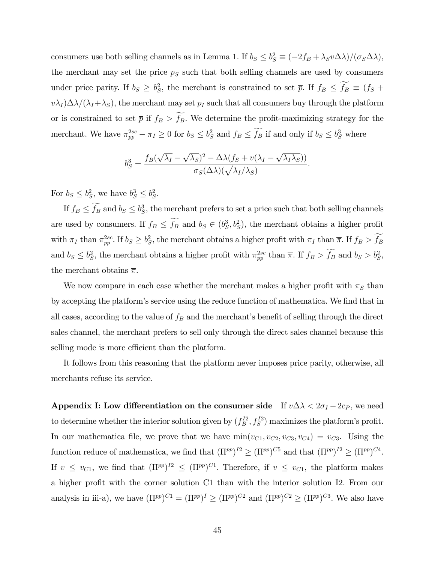consumers use both selling channels as in Lemma 1. If  $b_S \leq b_S^2 \equiv (-2f_B + \lambda_S v \Delta \lambda)/(\sigma_S \Delta \lambda)$ , the merchant may set the price  $p<sub>S</sub>$  such that both selling channels are used by consumers under price parity. If  $b_S \geq b_S^2$ , the merchant is constrained to set  $\bar{p}$ . If  $f_B \leq f_B \equiv (f_S +$  $v\lambda_I\Delta\lambda/(\lambda_I+\lambda_S)$ , the merchant may set  $p_I$  such that all consumers buy through the platform or is constrained to set  $\bar{p}$  if  $f_B > \widetilde{f}_B$ . We determine the profit-maximizing strategy for the merchant. We have  $\pi_{pp}^{2sc} - \pi_I \ge 0$  for  $b_S \le b_S^2$  and  $f_B \le f_B$  if and only if  $b_S \le b_S^3$  where

$$
b_S^3 = \frac{f_B(\sqrt{\lambda_I} - \sqrt{\lambda_S})^2 - \Delta\lambda(f_S + v(\lambda_I - \sqrt{\lambda_I\lambda_S}))}{\sigma_S(\Delta\lambda)(\sqrt{\lambda_I/\lambda_S})}.
$$

For  $b_S \leq b_S^2$ , we have  $b_S^3 \leq b_S^2$ .

If  $f_B \leq f_B$  and  $b_S \leq b_S^3$ , the merchant prefers to set a price such that both selling channels are used by consumers. If  $f_B \leq f_B$  and  $b_S \in (b_S^3, b_S^2)$ , the merchant obtains a higher profit with  $\pi_I$  than  $\pi_{pp}^{2sc}$ . If  $b_S \geq b_S^2$ , the merchant obtains a higher profit with  $\pi_I$  than  $\overline{\pi}$ . If  $f_B > f_B$ and  $b_S \leq b_S^2$ , the merchant obtains a higher profit with  $\pi_{pp}^{2sc}$  than  $\bar{\pi}$ . If  $f_B > f_B$  and  $b_S > b_S^2$ , the merchant obtains  $\bar{\pi}$ .

We now compare in each case whether the merchant makes a higher profit with  $\pi_S$  than by accepting the platform's service using the reduce function of mathematica. We find that in all cases, according to the value of  $f_B$  and the merchant's benefit of selling through the direct sales channel, the merchant prefers to sell only through the direct sales channel because this selling mode is more efficient than the platform.

It follows from this reasoning that the platform never imposes price parity, otherwise, all merchants refuse its service.

Appendix I: Low differentiation on the consumer side If  $v\Delta\lambda < 2\sigma_I - 2c_P$ , we need to determine whether the interior solution given by  $(f_B^{I2}, f_S^{I2})$  maximizes the platform's profit. In our mathematica file, we prove that we have  $min(v_{C1}, v_{C2}, v_{C3}, v_{C4}) = v_{C3}$ . Using the function reduce of mathematica, we find that  $(\Pi^{pp})^{I2} \geq (\Pi^{pp})^{C5}$  and that  $(\Pi^{pp})^{I2} \geq (\Pi^{pp})^{C4}$ . If  $v \leq v_{C1}$ , we find that  $(\Pi^{pp})^{I2} \leq (\Pi^{pp})^{C1}$ . Therefore, if  $v \leq v_{C1}$ , the platform makes a higher profit with the corner solution C1 than with the interior solution I2. From our analysis in iii-a), we have  $(\Pi^{pp})^{C1} = (\Pi^{pp})^I \geq (\Pi^{pp})^{C2}$  and  $(\Pi^{pp})^{C2} \geq (\Pi^{pp})^{C3}$ . We also have